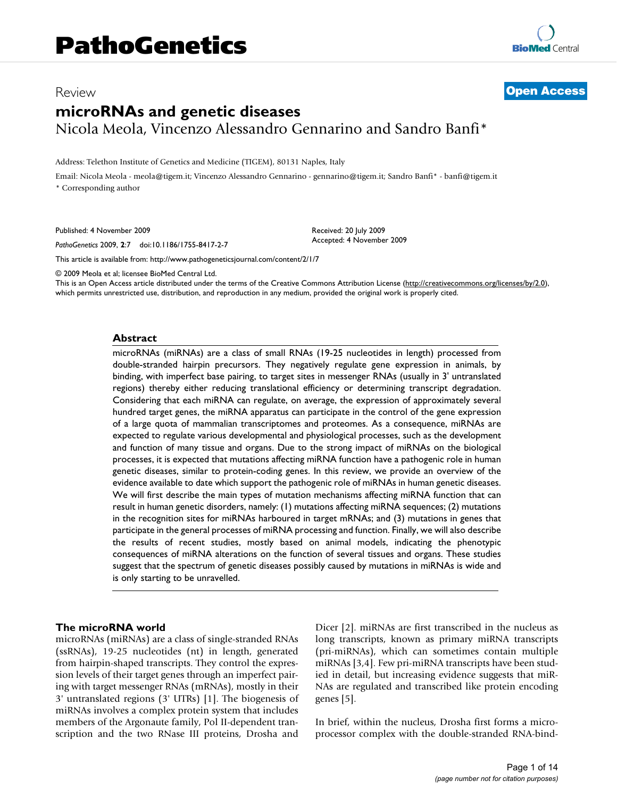# Review **[Open Access](http://www.biomedcentral.com/info/about/charter/) microRNAs and genetic diseases** Nicola Meola, Vincenzo Alessandro Gennarino and Sandro Banfi\*

Address: Telethon Institute of Genetics and Medicine (TIGEM), 80131 Naples, Italy

Email: Nicola Meola - meola@tigem.it; Vincenzo Alessandro Gennarino - gennarino@tigem.it; Sandro Banfi\* - banfi@tigem.it \* Corresponding author

Published: 4 November 2009

Received: 20 July 2009 Accepted: 4 November 2009

[This article is available from: http://www.pathogeneticsjournal.com/content/2/1/7](http://www.pathogeneticsjournal.com/content/2/1/7)

© 2009 Meola et al; licensee BioMed Central Ltd.

*PathoGenetics* 2009, **2**:7 doi:10.1186/1755-8417-2-7

This is an Open Access article distributed under the terms of the Creative Commons Attribution License [\(http://creativecommons.org/licenses/by/2.0\)](http://creativecommons.org/licenses/by/2.0), which permits unrestricted use, distribution, and reproduction in any medium, provided the original work is properly cited.

#### **Abstract**

microRNAs (miRNAs) are a class of small RNAs (19-25 nucleotides in length) processed from double-stranded hairpin precursors. They negatively regulate gene expression in animals, by binding, with imperfect base pairing, to target sites in messenger RNAs (usually in 3' untranslated regions) thereby either reducing translational efficiency or determining transcript degradation. Considering that each miRNA can regulate, on average, the expression of approximately several hundred target genes, the miRNA apparatus can participate in the control of the gene expression of a large quota of mammalian transcriptomes and proteomes. As a consequence, miRNAs are expected to regulate various developmental and physiological processes, such as the development and function of many tissue and organs. Due to the strong impact of miRNAs on the biological processes, it is expected that mutations affecting miRNA function have a pathogenic role in human genetic diseases, similar to protein-coding genes. In this review, we provide an overview of the evidence available to date which support the pathogenic role of miRNAs in human genetic diseases. We will first describe the main types of mutation mechanisms affecting miRNA function that can result in human genetic disorders, namely: (1) mutations affecting miRNA sequences; (2) mutations in the recognition sites for miRNAs harboured in target mRNAs; and (3) mutations in genes that participate in the general processes of miRNA processing and function. Finally, we will also describe the results of recent studies, mostly based on animal models, indicating the phenotypic consequences of miRNA alterations on the function of several tissues and organs. These studies suggest that the spectrum of genetic diseases possibly caused by mutations in miRNAs is wide and is only starting to be unravelled.

#### **The microRNA world**

microRNAs (miRNAs) are a class of single-stranded RNAs (ssRNAs), 19-25 nucleotides (nt) in length, generated from hairpin-shaped transcripts. They control the expression levels of their target genes through an imperfect pairing with target messenger RNAs (mRNAs), mostly in their 3' untranslated regions (3' UTRs) [1]. The biogenesis of miRNAs involves a complex protein system that includes members of the Argonaute family, Pol II-dependent transcription and the two RNase III proteins, Drosha and Dicer [2]. miRNAs are first transcribed in the nucleus as long transcripts, known as primary miRNA transcripts (pri-miRNAs), which can sometimes contain multiple miRNAs [3,4]. Few pri-miRNA transcripts have been studied in detail, but increasing evidence suggests that miR-NAs are regulated and transcribed like protein encoding genes [5].

In brief, within the nucleus, Drosha first forms a microprocessor complex with the double-stranded RNA-bind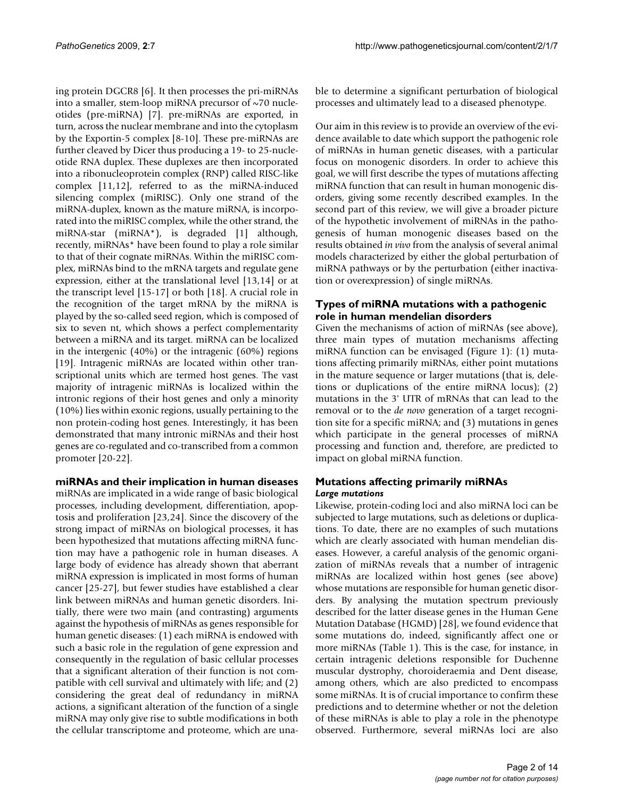ing protein DGCR8 [6]. It then processes the pri-miRNAs into a smaller, stem-loop miRNA precursor of ~70 nucleotides (pre-miRNA) [7]. pre-miRNAs are exported, in turn, across the nuclear membrane and into the cytoplasm by the Exportin-5 complex [8-10]. These pre-miRNAs are further cleaved by Dicer thus producing a 19- to 25-nucleotide RNA duplex. These duplexes are then incorporated into a ribonucleoprotein complex (RNP) called RISC-like complex [11,12], referred to as the miRNA-induced silencing complex (miRISC). Only one strand of the miRNA-duplex, known as the mature miRNA, is incorporated into the miRISC complex, while the other strand, the miRNA-star (miRNA\*), is degraded [1] although, recently, miRNAs\* have been found to play a role similar to that of their cognate miRNAs. Within the miRISC complex, miRNAs bind to the mRNA targets and regulate gene expression, either at the translational level [13,14] or at the transcript level [15-17] or both [18]. A crucial role in the recognition of the target mRNA by the miRNA is played by the so-called seed region, which is composed of six to seven nt, which shows a perfect complementarity between a miRNA and its target. miRNA can be localized in the intergenic (40%) or the intragenic (60%) regions [19]. Intragenic miRNAs are located within other transcriptional units which are termed host genes. The vast majority of intragenic miRNAs is localized within the intronic regions of their host genes and only a minority (10%) lies within exonic regions, usually pertaining to the non protein-coding host genes. Interestingly, it has been demonstrated that many intronic miRNAs and their host genes are co-regulated and co-transcribed from a common promoter [20-22].

# **miRNAs and their implication in human diseases**

miRNAs are implicated in a wide range of basic biological processes, including development, differentiation, apoptosis and proliferation [23,24]. Since the discovery of the strong impact of miRNAs on biological processes, it has been hypothesized that mutations affecting miRNA function may have a pathogenic role in human diseases. A large body of evidence has already shown that aberrant miRNA expression is implicated in most forms of human cancer [25-27], but fewer studies have established a clear link between miRNAs and human genetic disorders. Initially, there were two main (and contrasting) arguments against the hypothesis of miRNAs as genes responsible for human genetic diseases: (1) each miRNA is endowed with such a basic role in the regulation of gene expression and consequently in the regulation of basic cellular processes that a significant alteration of their function is not compatible with cell survival and ultimately with life; and (2) considering the great deal of redundancy in miRNA actions, a significant alteration of the function of a single miRNA may only give rise to subtle modifications in both the cellular transcriptome and proteome, which are unable to determine a significant perturbation of biological processes and ultimately lead to a diseased phenotype.

Our aim in this review is to provide an overview of the evidence available to date which support the pathogenic role of miRNAs in human genetic diseases, with a particular focus on monogenic disorders. In order to achieve this goal, we will first describe the types of mutations affecting miRNA function that can result in human monogenic disorders, giving some recently described examples. In the second part of this review, we will give a broader picture of the hypothetic involvement of miRNAs in the pathogenesis of human monogenic diseases based on the results obtained *in vivo* from the analysis of several animal models characterized by either the global perturbation of miRNA pathways or by the perturbation (either inactivation or overexpression) of single miRNAs.

# **Types of miRNA mutations with a pathogenic role in human mendelian disorders**

Given the mechanisms of action of miRNAs (see above), three main types of mutation mechanisms affecting miRNA function can be envisaged (Figure 1): (1) mutations affecting primarily miRNAs, either point mutations in the mature sequence or larger mutations (that is, deletions or duplications of the entire miRNA locus); (2) mutations in the 3' UTR of mRNAs that can lead to the removal or to the *de novo* generation of a target recognition site for a specific miRNA; and (3) mutations in genes which participate in the general processes of miRNA processing and function and, therefore, are predicted to impact on global miRNA function.

# **Mutations affecting primarily miRNAs** *Large mutations*

Likewise, protein-coding loci and also miRNA loci can be subjected to large mutations, such as deletions or duplications. To date, there are no examples of such mutations which are clearly associated with human mendelian diseases. However, a careful analysis of the genomic organization of miRNAs reveals that a number of intragenic miRNAs are localized within host genes (see above) whose mutations are responsible for human genetic disorders. By analysing the mutation spectrum previously described for the latter disease genes in the Human Gene Mutation Database (HGMD) [28], we found evidence that some mutations do, indeed, significantly affect one or more miRNAs (Table 1). This is the case, for instance, in certain intragenic deletions responsible for Duchenne muscular dystrophy, choroideraemia and Dent disease, among others, which are also predicted to encompass some miRNAs. It is of crucial importance to confirm these predictions and to determine whether or not the deletion of these miRNAs is able to play a role in the phenotype observed. Furthermore, several miRNAs loci are also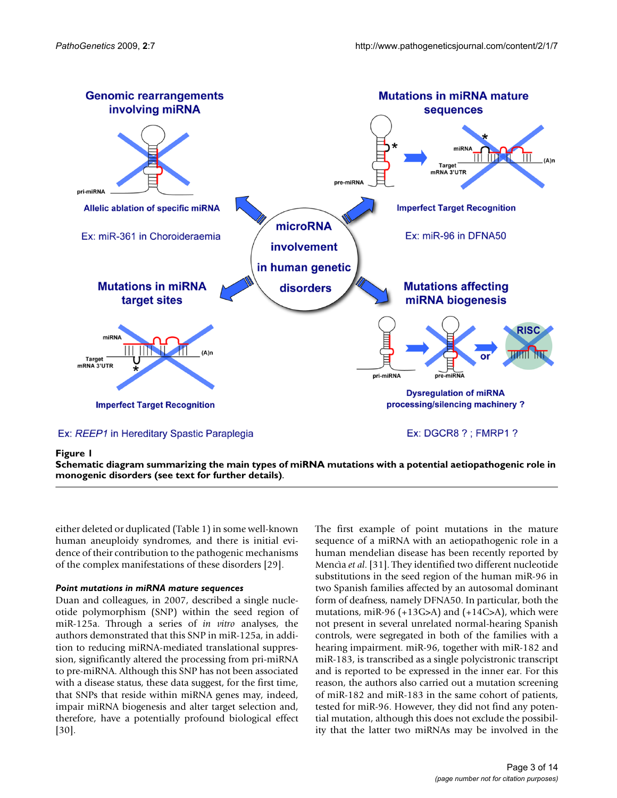

**Schematic diagram summarizing the main types of miRNA mutations with a potential aetiopathogenic role in monogenic disorders (see text for further details)**.

either deleted or duplicated (Table 1) in some well-known human aneuploidy syndromes, and there is initial evidence of their contribution to the pathogenic mechanisms of the complex manifestations of these disorders [29].

### *Point mutations in miRNA mature sequences*

Duan and colleagues, in 2007, described a single nucleotide polymorphism (SNP) within the seed region of miR-125a. Through a series of *in vitro* analyses, the authors demonstrated that this SNP in miR-125a, in addition to reducing miRNA-mediated translational suppression, significantly altered the processing from pri-miRNA to pre-miRNA. Although this SNP has not been associated with a disease status, these data suggest, for the first time, that SNPs that reside within miRNA genes may, indeed, impair miRNA biogenesis and alter target selection and, therefore, have a potentially profound biological effect [30].

The first example of point mutations in the mature sequence of a miRNA with an aetiopathogenic role in a human mendelian disease has been recently reported by Mencìa *et al*. [31]. They identified two different nucleotide substitutions in the seed region of the human miR-96 in two Spanish families affected by an autosomal dominant form of deafness, namely DFNA50. In particular, both the mutations, miR-96 (+13G>A) and (+14C>A), which were not present in several unrelated normal-hearing Spanish controls, were segregated in both of the families with a hearing impairment. miR-96, together with miR-182 and miR-183, is transcribed as a single polycistronic transcript and is reported to be expressed in the inner ear. For this reason, the authors also carried out a mutation screening of miR-182 and miR-183 in the same cohort of patients, tested for miR-96. However, they did not find any potential mutation, although this does not exclude the possibility that the latter two miRNAs may be involved in the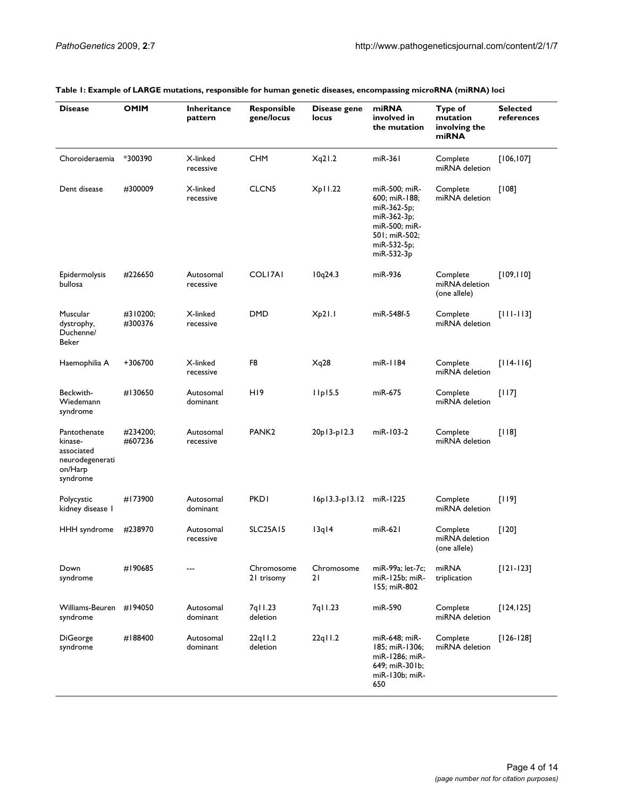| <b>Disease</b>                                                                  | <b>OMIM</b>         | <b>Inheritance</b><br>pattern | Responsible<br>gene/locus | Disease gene<br>locus  | miRNA<br>involved in<br>the mutation                                                                                        | Type of<br>mutation<br>involving the<br>miRNA | <b>Selected</b><br>references |
|---------------------------------------------------------------------------------|---------------------|-------------------------------|---------------------------|------------------------|-----------------------------------------------------------------------------------------------------------------------------|-----------------------------------------------|-------------------------------|
| Choroideraemia                                                                  | *300390             | X-linked<br>recessive         | <b>CHM</b>                | Xq21.2                 | $miR-361$                                                                                                                   | Complete<br>miRNA deletion                    | [106, 107]                    |
| Dent disease                                                                    | #300009             | X-linked<br>recessive         | CLCN <sub>5</sub>         | Xp11.22                | miR-500; miR-<br>600; miR-188;<br>miR-362-5p;<br>miR-362-3p;<br>miR-500; miR-<br>501; miR-502;<br>miR-532-5p;<br>miR-532-3p | Complete<br>miRNA deletion                    | [108]                         |
| <b>Epidermolysis</b><br>bullosa                                                 | #226650             | Autosomal<br>recessive        | COLI7AI                   | 10q24.3                | miR-936                                                                                                                     | Complete<br>miRNA deletion<br>(one allele)    | [109, 110]                    |
| Muscular<br>dystrophy,<br>Duchenne/<br>Beker                                    | #310200;<br>#300376 | X-linked<br>recessive         | <b>DMD</b>                | Xp21.1                 | miR-548f-5                                                                                                                  | Complete<br>miRNA deletion                    | $[111 - 113]$                 |
| Haemophilia A                                                                   | +306700             | X-linked<br>recessive         | F8                        | Xq28                   | miR-1184                                                                                                                    | Complete<br>miRNA deletion                    | $[114-116]$                   |
| Beckwith-<br>Wiedemann<br>syndrome                                              | #130650             | Autosomal<br>dominant         | H <sub>19</sub>           | $I$ Ip <sub>15.5</sub> | miR-675                                                                                                                     | Complete<br>miRNA deletion                    | [117]                         |
| Pantothenate<br>kinase-<br>associated<br>neurodegenerati<br>on/Harp<br>syndrome | #234200;<br>#607236 | Autosomal<br>recessive        | PANK <sub>2</sub>         | $20p13-p12.3$          | miR-103-2                                                                                                                   | Complete<br>miRNA deletion                    | [118]                         |
| Polycystic<br>kidney disease I                                                  | #173900             | Autosomal<br>dominant         | <b>PKD1</b>               | $16p13.3-p13.12$       | miR-1225                                                                                                                    | Complete<br>miRNA deletion                    | [119]                         |
| <b>HHH</b> syndrome                                                             | #238970             | Autosomal<br>recessive        | <b>SLC25A15</b>           | $13q$ $14$             | $miR-621$                                                                                                                   | Complete<br>miRNA deletion<br>(one allele)    | [120]                         |
| Down<br>syndrome                                                                | #190685             |                               | Chromosome<br>21 trisomy  | Chromosome<br>21       | miR-99a; let-7c;<br>miR-125b; miR-<br>155; miR-802                                                                          | miRNA<br>triplication                         | $[121 - 123]$                 |
| Williams-Beuren<br>syndrome                                                     | #194050             | Autosomal<br>dominant         | 7q11.23<br>deletion       | 7q11.23                | miR-590                                                                                                                     | Complete<br>miRNA deletion                    | [124, 125]                    |
| DiGeorge<br>syndrome                                                            | #188400             | Autosomal<br>dominant         | $22q$ I I.2<br>deletion   | $22q$ I I.2            | miR-648; miR-<br>185; miR-1306;<br>miR-1286; miR-<br>649; miR-301b;<br>miR-130b; miR-<br>650                                | Complete<br>miRNA deletion                    | $[126 - 128]$                 |

# **Table 1: Example of LARGE mutations, responsible for human genetic diseases, encompassing microRNA (miRNA) loci**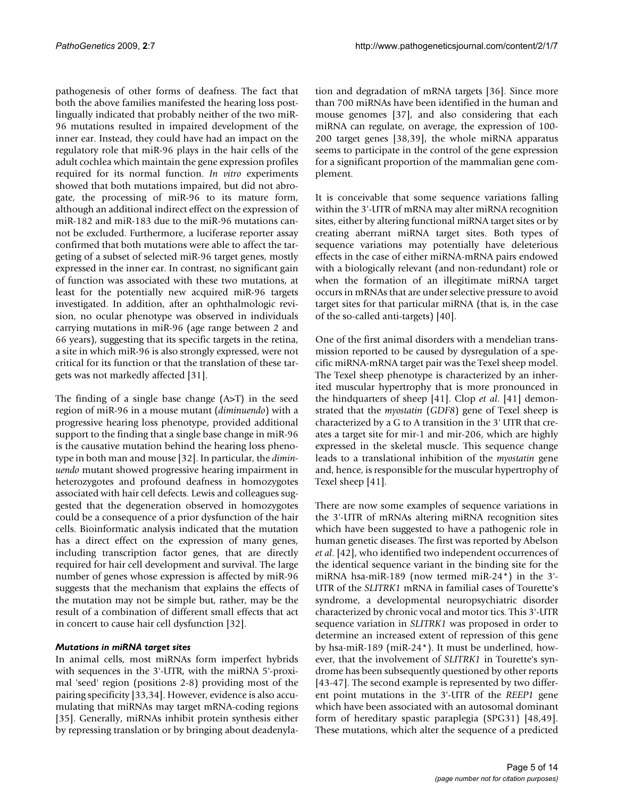pathogenesis of other forms of deafness. The fact that both the above families manifested the hearing loss postlingually indicated that probably neither of the two miR-96 mutations resulted in impaired development of the inner ear. Instead, they could have had an impact on the regulatory role that miR-96 plays in the hair cells of the adult cochlea which maintain the gene expression profiles required for its normal function. *In vitro* experiments showed that both mutations impaired, but did not abrogate, the processing of miR-96 to its mature form, although an additional indirect effect on the expression of miR-182 and miR-183 due to the miR-96 mutations cannot be excluded. Furthermore, a luciferase reporter assay confirmed that both mutations were able to affect the targeting of a subset of selected miR-96 target genes, mostly expressed in the inner ear. In contrast, no significant gain of function was associated with these two mutations, at least for the potentially new acquired miR-96 targets investigated. In addition, after an ophthalmologic revision, no ocular phenotype was observed in individuals carrying mutations in miR-96 (age range between 2 and 66 years), suggesting that its specific targets in the retina, a site in which miR-96 is also strongly expressed, were not critical for its function or that the translation of these targets was not markedly affected [31].

The finding of a single base change  $(A>T)$  in the seed region of miR-96 in a mouse mutant (*diminuendo*) with a progressive hearing loss phenotype, provided additional support to the finding that a single base change in miR-96 is the causative mutation behind the hearing loss phenotype in both man and mouse [32]. In particular, the *diminuendo* mutant showed progressive hearing impairment in heterozygotes and profound deafness in homozygotes associated with hair cell defects. Lewis and colleagues suggested that the degeneration observed in homozygotes could be a consequence of a prior dysfunction of the hair cells. Bioinformatic analysis indicated that the mutation has a direct effect on the expression of many genes, including transcription factor genes, that are directly required for hair cell development and survival. The large number of genes whose expression is affected by miR-96 suggests that the mechanism that explains the effects of the mutation may not be simple but, rather, may be the result of a combination of different small effects that act in concert to cause hair cell dysfunction [32].

### *Mutations in miRNA target sites*

In animal cells, most miRNAs form imperfect hybrids with sequences in the 3'-UTR, with the miRNA 5'-proximal 'seed' region (positions 2-8) providing most of the pairing specificity [33,34]. However, evidence is also accumulating that miRNAs may target mRNA-coding regions [35]. Generally, miRNAs inhibit protein synthesis either by repressing translation or by bringing about deadenylation and degradation of mRNA targets [36]. Since more than 700 miRNAs have been identified in the human and mouse genomes [37], and also considering that each miRNA can regulate, on average, the expression of 100- 200 target genes [38,39], the whole miRNA apparatus seems to participate in the control of the gene expression for a significant proportion of the mammalian gene complement.

It is conceivable that some sequence variations falling within the 3'-UTR of mRNA may alter miRNA recognition sites, either by altering functional miRNA target sites or by creating aberrant miRNA target sites. Both types of sequence variations may potentially have deleterious effects in the case of either miRNA-mRNA pairs endowed with a biologically relevant (and non-redundant) role or when the formation of an illegitimate miRNA target occurs in mRNAs that are under selective pressure to avoid target sites for that particular miRNA (that is, in the case of the so-called anti-targets) [40].

One of the first animal disorders with a mendelian transmission reported to be caused by dysregulation of a specific miRNA-mRNA target pair was the Texel sheep model. The Texel sheep phenotype is characterized by an inherited muscular hypertrophy that is more pronounced in the hindquarters of sheep [41]. Clop *et al*. [41] demonstrated that the *myostatin* (*GDF8*) gene of Texel sheep is characterized by a G to A transition in the 3' UTR that creates a target site for mir-1 and mir-206, which are highly expressed in the skeletal muscle. This sequence change leads to a translational inhibition of the *myostatin* gene and, hence, is responsible for the muscular hypertrophy of Texel sheep [41].

There are now some examples of sequence variations in the 3'-UTR of mRNAs altering miRNA recognition sites which have been suggested to have a pathogenic role in human genetic diseases. The first was reported by Abelson *et al*. [42], who identified two independent occurrences of the identical sequence variant in the binding site for the miRNA hsa-miR-189 (now termed miR-24\*) in the 3'- UTR of the *SLITRK1* mRNA in familial cases of Tourette's syndrome, a developmental neuropsychiatric disorder characterized by chronic vocal and motor tics. This 3'-UTR sequence variation in *SLITRK1* was proposed in order to determine an increased extent of repression of this gene by hsa-miR-189 (miR-24\*). It must be underlined, however, that the involvement of *SLITRK1* in Tourette's syndrome has been subsequently questioned by other reports [43-47]. The second example is represented by two different point mutations in the 3'-UTR of the *REEP1* gene which have been associated with an autosomal dominant form of hereditary spastic paraplegia (SPG31) [48,49]. These mutations, which alter the sequence of a predicted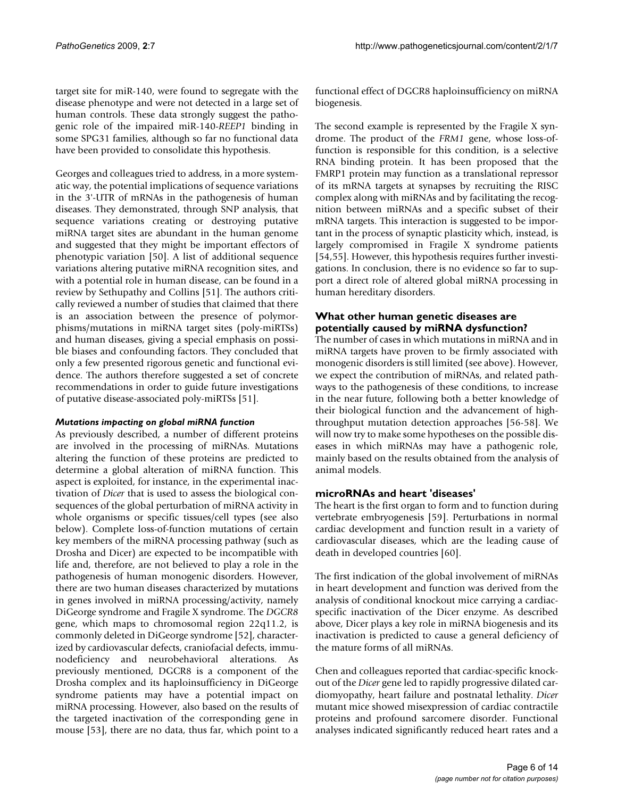target site for miR-140, were found to segregate with the disease phenotype and were not detected in a large set of human controls. These data strongly suggest the pathogenic role of the impaired miR-140-*REEP1* binding in some SPG31 families, although so far no functional data have been provided to consolidate this hypothesis.

Georges and colleagues tried to address, in a more systematic way, the potential implications of sequence variations in the 3'-UTR of mRNAs in the pathogenesis of human diseases. They demonstrated, through SNP analysis, that sequence variations creating or destroying putative miRNA target sites are abundant in the human genome and suggested that they might be important effectors of phenotypic variation [50]. A list of additional sequence variations altering putative miRNA recognition sites, and with a potential role in human disease, can be found in a review by Sethupathy and Collins [51]. The authors critically reviewed a number of studies that claimed that there is an association between the presence of polymorphisms/mutations in miRNA target sites (poly-miRTSs) and human diseases, giving a special emphasis on possible biases and confounding factors. They concluded that only a few presented rigorous genetic and functional evidence. The authors therefore suggested a set of concrete recommendations in order to guide future investigations of putative disease-associated poly-miRTSs [51].

### *Mutations impacting on global miRNA function*

As previously described, a number of different proteins are involved in the processing of miRNAs. Mutations altering the function of these proteins are predicted to determine a global alteration of miRNA function. This aspect is exploited, for instance, in the experimental inactivation of *Dicer* that is used to assess the biological consequences of the global perturbation of miRNA activity in whole organisms or specific tissues/cell types (see also below). Complete loss-of-function mutations of certain key members of the miRNA processing pathway (such as Drosha and Dicer) are expected to be incompatible with life and, therefore, are not believed to play a role in the pathogenesis of human monogenic disorders. However, there are two human diseases characterized by mutations in genes involved in miRNA processing/activity, namely DiGeorge syndrome and Fragile X syndrome. The *DGCR8* gene, which maps to chromosomal region 22q11.2, is commonly deleted in DiGeorge syndrome [52], characterized by cardiovascular defects, craniofacial defects, immunodeficiency and neurobehavioral alterations. As previously mentioned, DGCR8 is a component of the Drosha complex and its haploinsufficiency in DiGeorge syndrome patients may have a potential impact on miRNA processing. However, also based on the results of the targeted inactivation of the corresponding gene in mouse [53], there are no data, thus far, which point to a functional effect of DGCR8 haploinsufficiency on miRNA biogenesis.

The second example is represented by the Fragile X syndrome. The product of the *FRM1* gene, whose loss-offunction is responsible for this condition, is a selective RNA binding protein. It has been proposed that the FMRP1 protein may function as a translational repressor of its mRNA targets at synapses by recruiting the RISC complex along with miRNAs and by facilitating the recognition between miRNAs and a specific subset of their mRNA targets. This interaction is suggested to be important in the process of synaptic plasticity which, instead, is largely compromised in Fragile X syndrome patients [54,55]. However, this hypothesis requires further investigations. In conclusion, there is no evidence so far to support a direct role of altered global miRNA processing in human hereditary disorders.

### **What other human genetic diseases are potentially caused by miRNA dysfunction?**

The number of cases in which mutations in miRNA and in miRNA targets have proven to be firmly associated with monogenic disorders is still limited (see above). However, we expect the contribution of miRNAs, and related pathways to the pathogenesis of these conditions, to increase in the near future, following both a better knowledge of their biological function and the advancement of highthroughput mutation detection approaches [56-58]. We will now try to make some hypotheses on the possible diseases in which miRNAs may have a pathogenic role, mainly based on the results obtained from the analysis of animal models.

# **microRNAs and heart 'diseases'**

The heart is the first organ to form and to function during vertebrate embryogenesis [59]. Perturbations in normal cardiac development and function result in a variety of cardiovascular diseases, which are the leading cause of death in developed countries [60].

The first indication of the global involvement of miRNAs in heart development and function was derived from the analysis of conditional knockout mice carrying a cardiacspecific inactivation of the Dicer enzyme. As described above, Dicer plays a key role in miRNA biogenesis and its inactivation is predicted to cause a general deficiency of the mature forms of all miRNAs.

Chen and colleagues reported that cardiac-specific knockout of the *Dicer* gene led to rapidly progressive dilated cardiomyopathy, heart failure and postnatal lethality. *Dicer* mutant mice showed misexpression of cardiac contractile proteins and profound sarcomere disorder. Functional analyses indicated significantly reduced heart rates and a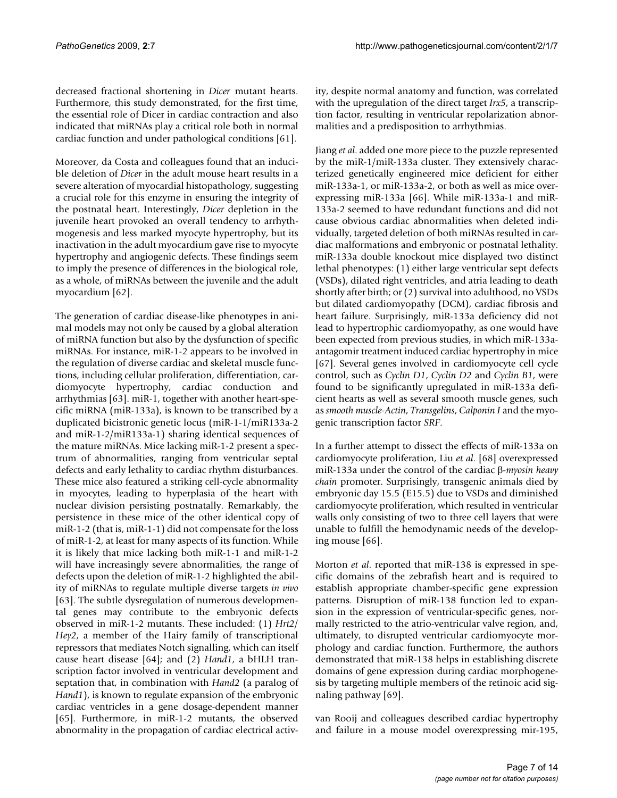decreased fractional shortening in *Dicer* mutant hearts. Furthermore, this study demonstrated, for the first time, the essential role of Dicer in cardiac contraction and also indicated that miRNAs play a critical role both in normal cardiac function and under pathological conditions [61].

Moreover, da Costa and colleagues found that an inducible deletion of *Dicer* in the adult mouse heart results in a severe alteration of myocardial histopathology, suggesting a crucial role for this enzyme in ensuring the integrity of the postnatal heart. Interestingly, *Dicer* depletion in the juvenile heart provoked an overall tendency to arrhythmogenesis and less marked myocyte hypertrophy, but its inactivation in the adult myocardium gave rise to myocyte hypertrophy and angiogenic defects. These findings seem to imply the presence of differences in the biological role, as a whole, of miRNAs between the juvenile and the adult myocardium [62].

The generation of cardiac disease-like phenotypes in animal models may not only be caused by a global alteration of miRNA function but also by the dysfunction of specific miRNAs. For instance, miR-1-2 appears to be involved in the regulation of diverse cardiac and skeletal muscle functions, including cellular proliferation, differentiation, cardiomyocyte hypertrophy, cardiac conduction and arrhythmias [63]. miR-1, together with another heart-specific miRNA (miR-133a), is known to be transcribed by a duplicated bicistronic genetic locus (miR-1-1/miR133a-2 and miR-1-2/miR133a-1) sharing identical sequences of the mature miRNAs. Mice lacking miR-1-2 present a spectrum of abnormalities, ranging from ventricular septal defects and early lethality to cardiac rhythm disturbances. These mice also featured a striking cell-cycle abnormality in myocytes, leading to hyperplasia of the heart with nuclear division persisting postnatally. Remarkably, the persistence in these mice of the other identical copy of miR-1-2 (that is, miR-1-1) did not compensate for the loss of miR-1-2, at least for many aspects of its function. While it is likely that mice lacking both miR-1-1 and miR-1-2 will have increasingly severe abnormalities, the range of defects upon the deletion of miR-1-2 highlighted the ability of miRNAs to regulate multiple diverse targets *in vivo* [63]. The subtle dysregulation of numerous developmental genes may contribute to the embryonic defects observed in miR-1-2 mutants. These included: (1) *Hrt2*/ *Hey2*, a member of the Hairy family of transcriptional repressors that mediates Notch signalling, which can itself cause heart disease [64]; and (2) *Hand1*, a bHLH transcription factor involved in ventricular development and septation that, in combination with *Hand2* (a paralog of *Hand1*), is known to regulate expansion of the embryonic cardiac ventricles in a gene dosage-dependent manner [65]. Furthermore, in miR-1-2 mutants, the observed abnormality in the propagation of cardiac electrical activity, despite normal anatomy and function, was correlated with the upregulation of the direct target *Irx5*, a transcription factor, resulting in ventricular repolarization abnormalities and a predisposition to arrhythmias.

Jiang *et al*. added one more piece to the puzzle represented by the miR-1/miR-133a cluster. They extensively characterized genetically engineered mice deficient for either miR-133a-1, or miR-133a-2, or both as well as mice overexpressing miR-133a [66]. While miR-133a-1 and miR-133a-2 seemed to have redundant functions and did not cause obvious cardiac abnormalities when deleted individually, targeted deletion of both miRNAs resulted in cardiac malformations and embryonic or postnatal lethality. miR-133a double knockout mice displayed two distinct lethal phenotypes: (1) either large ventricular sept defects (VSDs), dilated right ventricles, and atria leading to death shortly after birth; or (2) survival into adulthood, no VSDs but dilated cardiomyopathy (DCM), cardiac fibrosis and heart failure. Surprisingly, miR-133a deficiency did not lead to hypertrophic cardiomyopathy, as one would have been expected from previous studies, in which miR-133aantagomir treatment induced cardiac hypertrophy in mice [67]. Several genes involved in cardiomyocyte cell cycle control, such as *Cyclin D1*, *Cyclin D2* and *Cyclin B1*, were found to be significantly upregulated in miR-133a deficient hearts as well as several smooth muscle genes, such as *smooth muscle-Actin*, *Transgelins*, *Calponin I* and the myogenic transcription factor *SRF*.

In a further attempt to dissect the effects of miR-133a on cardiomyocyte proliferation, Liu *et al*. [68] overexpressed miR-133a under the control of the cardiac β-*myosin heavy chain* promoter. Surprisingly, transgenic animals died by embryonic day 15.5 (E15.5) due to VSDs and diminished cardiomyocyte proliferation, which resulted in ventricular walls only consisting of two to three cell layers that were unable to fulfill the hemodynamic needs of the developing mouse [66].

Morton *et al*. reported that miR-138 is expressed in specific domains of the zebrafish heart and is required to establish appropriate chamber-specific gene expression patterns. Disruption of miR-138 function led to expansion in the expression of ventricular-specific genes, normally restricted to the atrio-ventricular valve region, and, ultimately, to disrupted ventricular cardiomyocyte morphology and cardiac function. Furthermore, the authors demonstrated that miR-138 helps in establishing discrete domains of gene expression during cardiac morphogenesis by targeting multiple members of the retinoic acid signaling pathway [69].

van Rooij and colleagues described cardiac hypertrophy and failure in a mouse model overexpressing mir-195,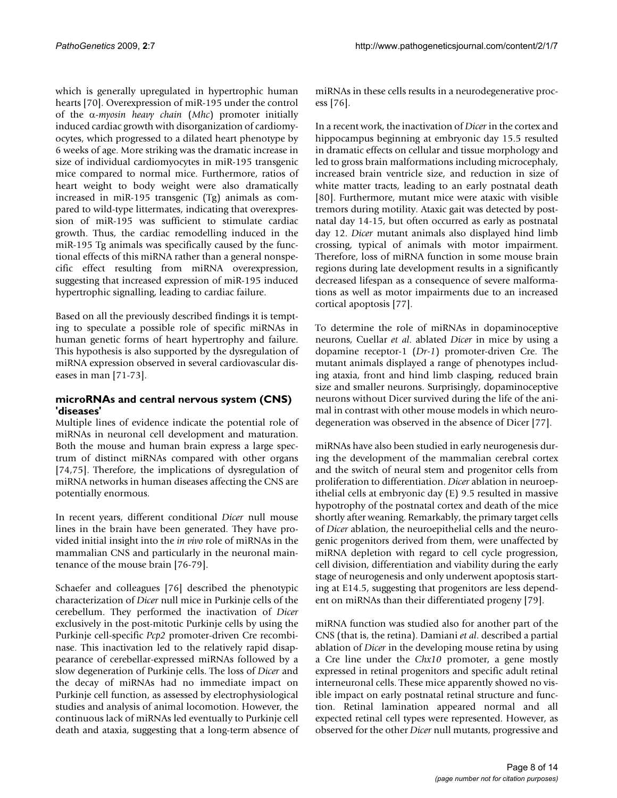which is generally upregulated in hypertrophic human hearts [70]. Overexpression of miR-195 under the control of the α-*myosin heavy chain* (*Mhc*) promoter initially induced cardiac growth with disorganization of cardiomyocytes, which progressed to a dilated heart phenotype by 6 weeks of age. More striking was the dramatic increase in size of individual cardiomyocytes in miR-195 transgenic mice compared to normal mice. Furthermore, ratios of heart weight to body weight were also dramatically increased in miR-195 transgenic (Tg) animals as compared to wild-type littermates, indicating that overexpression of miR-195 was sufficient to stimulate cardiac growth. Thus, the cardiac remodelling induced in the miR-195 Tg animals was specifically caused by the functional effects of this miRNA rather than a general nonspecific effect resulting from miRNA overexpression, suggesting that increased expression of miR-195 induced hypertrophic signalling, leading to cardiac failure.

Based on all the previously described findings it is tempting to speculate a possible role of specific miRNAs in human genetic forms of heart hypertrophy and failure. This hypothesis is also supported by the dysregulation of miRNA expression observed in several cardiovascular diseases in man [71-73].

### **microRNAs and central nervous system (CNS) 'diseases'**

Multiple lines of evidence indicate the potential role of miRNAs in neuronal cell development and maturation. Both the mouse and human brain express a large spectrum of distinct miRNAs compared with other organs [74,75]. Therefore, the implications of dysregulation of miRNA networks in human diseases affecting the CNS are potentially enormous.

In recent years, different conditional *Dicer* null mouse lines in the brain have been generated. They have provided initial insight into the *in vivo* role of miRNAs in the mammalian CNS and particularly in the neuronal maintenance of the mouse brain [76-79].

Schaefer and colleagues [76] described the phenotypic characterization of *Dicer* null mice in Purkinje cells of the cerebellum. They performed the inactivation of *Dicer* exclusively in the post-mitotic Purkinje cells by using the Purkinje cell-specific *Pcp2* promoter-driven Cre recombinase. This inactivation led to the relatively rapid disappearance of cerebellar-expressed miRNAs followed by a slow degeneration of Purkinje cells. The loss of *Dicer* and the decay of miRNAs had no immediate impact on Purkinje cell function, as assessed by electrophysiological studies and analysis of animal locomotion. However, the continuous lack of miRNAs led eventually to Purkinje cell death and ataxia, suggesting that a long-term absence of miRNAs in these cells results in a neurodegenerative process [76].

In a recent work, the inactivation of *Dicer* in the cortex and hippocampus beginning at embryonic day 15.5 resulted in dramatic effects on cellular and tissue morphology and led to gross brain malformations including microcephaly, increased brain ventricle size, and reduction in size of white matter tracts, leading to an early postnatal death [80]. Furthermore, mutant mice were ataxic with visible tremors during motility. Ataxic gait was detected by postnatal day 14-15, but often occurred as early as postnatal day 12. *Dicer* mutant animals also displayed hind limb crossing, typical of animals with motor impairment. Therefore, loss of miRNA function in some mouse brain regions during late development results in a significantly decreased lifespan as a consequence of severe malformations as well as motor impairments due to an increased cortical apoptosis [77].

To determine the role of miRNAs in dopaminoceptive neurons, Cuellar *et al*. ablated *Dicer* in mice by using a dopamine receptor-1 (*Dr-1*) promoter-driven Cre. The mutant animals displayed a range of phenotypes including ataxia, front and hind limb clasping, reduced brain size and smaller neurons. Surprisingly, dopaminoceptive neurons without Dicer survived during the life of the animal in contrast with other mouse models in which neurodegeneration was observed in the absence of Dicer [77].

miRNAs have also been studied in early neurogenesis during the development of the mammalian cerebral cortex and the switch of neural stem and progenitor cells from proliferation to differentiation. *Dicer* ablation in neuroepithelial cells at embryonic day (E) 9.5 resulted in massive hypotrophy of the postnatal cortex and death of the mice shortly after weaning. Remarkably, the primary target cells of *Dicer* ablation, the neuroepithelial cells and the neurogenic progenitors derived from them, were unaffected by miRNA depletion with regard to cell cycle progression, cell division, differentiation and viability during the early stage of neurogenesis and only underwent apoptosis starting at E14.5, suggesting that progenitors are less dependent on miRNAs than their differentiated progeny [79].

miRNA function was studied also for another part of the CNS (that is, the retina). Damiani *et al*. described a partial ablation of *Dicer* in the developing mouse retina by using a Cre line under the *Chx10* promoter, a gene mostly expressed in retinal progenitors and specific adult retinal interneuronal cells. These mice apparently showed no visible impact on early postnatal retinal structure and function. Retinal lamination appeared normal and all expected retinal cell types were represented. However, as observed for the other *Dicer* null mutants, progressive and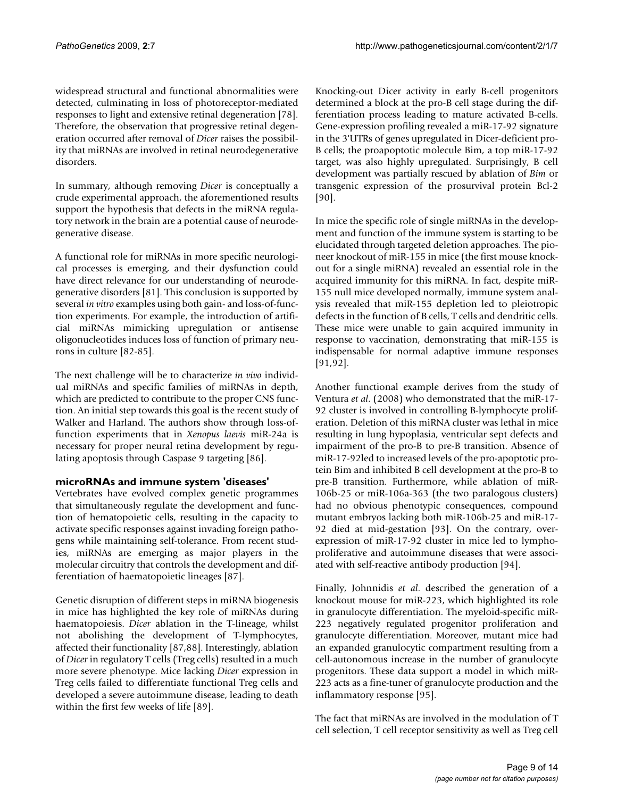widespread structural and functional abnormalities were detected, culminating in loss of photoreceptor-mediated responses to light and extensive retinal degeneration [78]. Therefore, the observation that progressive retinal degeneration occurred after removal of *Dicer* raises the possibility that miRNAs are involved in retinal neurodegenerative disorders.

In summary, although removing *Dicer* is conceptually a crude experimental approach, the aforementioned results support the hypothesis that defects in the miRNA regulatory network in the brain are a potential cause of neurodegenerative disease.

A functional role for miRNAs in more specific neurological processes is emerging, and their dysfunction could have direct relevance for our understanding of neurodegenerative disorders [81]. This conclusion is supported by several *in vitro* examples using both gain- and loss-of-function experiments. For example, the introduction of artificial miRNAs mimicking upregulation or antisense oligonucleotides induces loss of function of primary neurons in culture [82-85].

The next challenge will be to characterize *in vivo* individual miRNAs and specific families of miRNAs in depth, which are predicted to contribute to the proper CNS function. An initial step towards this goal is the recent study of Walker and Harland. The authors show through loss-offunction experiments that in *Xenopus laevis* miR-24a is necessary for proper neural retina development by regulating apoptosis through Caspase 9 targeting [86].

### **microRNAs and immune system 'diseases'**

Vertebrates have evolved complex genetic programmes that simultaneously regulate the development and function of hematopoietic cells, resulting in the capacity to activate specific responses against invading foreign pathogens while maintaining self-tolerance. From recent studies, miRNAs are emerging as major players in the molecular circuitry that controls the development and differentiation of haematopoietic lineages [87].

Genetic disruption of different steps in miRNA biogenesis in mice has highlighted the key role of miRNAs during haematopoiesis. *Dicer* ablation in the T-lineage, whilst not abolishing the development of T-lymphocytes, affected their functionality [87,88]. Interestingly, ablation of *Dicer* in regulatory T cells (Treg cells) resulted in a much more severe phenotype. Mice lacking *Dicer* expression in Treg cells failed to differentiate functional Treg cells and developed a severe autoimmune disease, leading to death within the first few weeks of life [89].

Knocking-out Dicer activity in early B-cell progenitors determined a block at the pro-B cell stage during the differentiation process leading to mature activated B-cells. Gene-expression profiling revealed a miR-17-92 signature in the 3'UTRs of genes upregulated in Dicer-deficient pro-B cells; the proapoptotic molecule Bim, a top miR-17-92 target, was also highly upregulated. Surprisingly, B cell development was partially rescued by ablation of *Bim* or transgenic expression of the prosurvival protein Bcl-2 [90].

In mice the specific role of single miRNAs in the development and function of the immune system is starting to be elucidated through targeted deletion approaches. The pioneer knockout of miR-155 in mice (the first mouse knockout for a single miRNA) revealed an essential role in the acquired immunity for this miRNA. In fact, despite miR-155 null mice developed normally, immune system analysis revealed that miR-155 depletion led to pleiotropic defects in the function of B cells, T cells and dendritic cells. These mice were unable to gain acquired immunity in response to vaccination, demonstrating that miR-155 is indispensable for normal adaptive immune responses [91,92].

Another functional example derives from the study of Ventura *et al*. (2008) who demonstrated that the miR-17- 92 cluster is involved in controlling B-lymphocyte proliferation. Deletion of this miRNA cluster was lethal in mice resulting in lung hypoplasia, ventricular sept defects and impairment of the pro-B to pre-B transition. Absence of miR-17-92led to increased levels of the pro-apoptotic protein Bim and inhibited B cell development at the pro-B to pre-B transition. Furthermore, while ablation of miR-106b-25 or miR-106a-363 (the two paralogous clusters) had no obvious phenotypic consequences, compound mutant embryos lacking both miR-106b-25 and miR-17- 92 died at mid-gestation [93]. On the contrary, overexpression of miR-17-92 cluster in mice led to lymphoproliferative and autoimmune diseases that were associated with self-reactive antibody production [94].

Finally, Johnnidis *et al*. described the generation of a knockout mouse for miR-223, which highlighted its role in granulocyte differentiation. The myeloid-specific miR-223 negatively regulated progenitor proliferation and granulocyte differentiation. Moreover, mutant mice had an expanded granulocytic compartment resulting from a cell-autonomous increase in the number of granulocyte progenitors. These data support a model in which miR-223 acts as a fine-tuner of granulocyte production and the inflammatory response [95].

The fact that miRNAs are involved in the modulation of T cell selection, T cell receptor sensitivity as well as Treg cell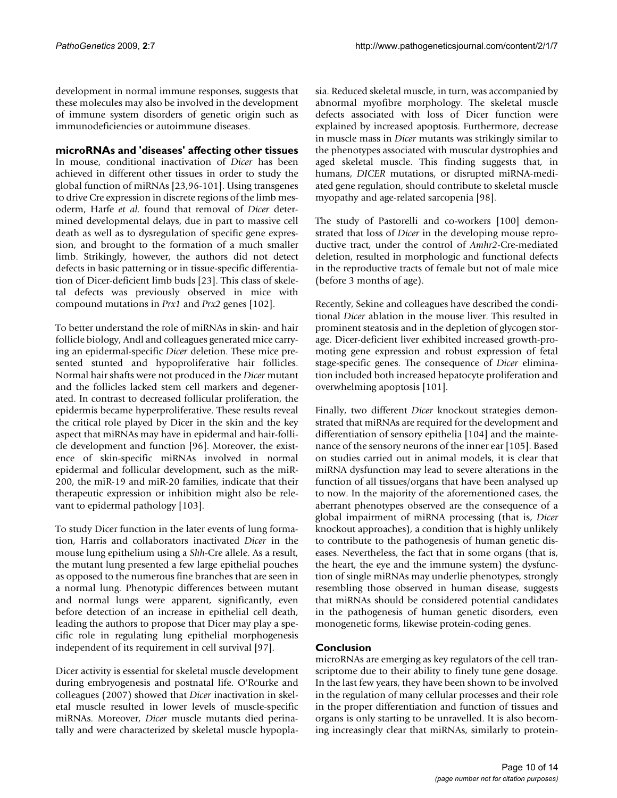development in normal immune responses, suggests that these molecules may also be involved in the development of immune system disorders of genetic origin such as immunodeficiencies or autoimmune diseases.

### **microRNAs and 'diseases' affecting other tissues**

In mouse, conditional inactivation of *Dicer* has been achieved in different other tissues in order to study the global function of miRNAs [23,96-101]. Using transgenes to drive Cre expression in discrete regions of the limb mesoderm, Harfe *et al*. found that removal of *Dicer* determined developmental delays, due in part to massive cell death as well as to dysregulation of specific gene expression, and brought to the formation of a much smaller limb. Strikingly, however, the authors did not detect defects in basic patterning or in tissue-specific differentiation of Dicer-deficient limb buds [23]. This class of skeletal defects was previously observed in mice with compound mutations in *Prx1* and *Prx2* genes [102].

To better understand the role of miRNAs in skin- and hair follicle biology, Andl and colleagues generated mice carrying an epidermal-specific *Dicer* deletion. These mice presented stunted and hypoproliferative hair follicles. Normal hair shafts were not produced in the *Dicer* mutant and the follicles lacked stem cell markers and degenerated. In contrast to decreased follicular proliferation, the epidermis became hyperproliferative. These results reveal the critical role played by Dicer in the skin and the key aspect that miRNAs may have in epidermal and hair-follicle development and function [96]. Moreover, the existence of skin-specific miRNAs involved in normal epidermal and follicular development, such as the miR-200, the miR-19 and miR-20 families, indicate that their therapeutic expression or inhibition might also be relevant to epidermal pathology [103].

To study Dicer function in the later events of lung formation, Harris and collaborators inactivated *Dicer* in the mouse lung epithelium using a *Shh*-Cre allele. As a result, the mutant lung presented a few large epithelial pouches as opposed to the numerous fine branches that are seen in a normal lung. Phenotypic differences between mutant and normal lungs were apparent, significantly, even before detection of an increase in epithelial cell death, leading the authors to propose that Dicer may play a specific role in regulating lung epithelial morphogenesis independent of its requirement in cell survival [97].

Dicer activity is essential for skeletal muscle development during embryogenesis and postnatal life. O'Rourke and colleagues (2007) showed that *Dicer* inactivation in skeletal muscle resulted in lower levels of muscle-specific miRNAs. Moreover, *Dicer* muscle mutants died perinatally and were characterized by skeletal muscle hypoplasia. Reduced skeletal muscle, in turn, was accompanied by abnormal myofibre morphology. The skeletal muscle defects associated with loss of Dicer function were explained by increased apoptosis. Furthermore, decrease in muscle mass in *Dicer* mutants was strikingly similar to the phenotypes associated with muscular dystrophies and aged skeletal muscle. This finding suggests that, in humans, *DICER* mutations, or disrupted miRNA-mediated gene regulation, should contribute to skeletal muscle myopathy and age-related sarcopenia [98].

The study of Pastorelli and co-workers [100] demonstrated that loss of *Dicer* in the developing mouse reproductive tract, under the control of *Amhr2*-Cre-mediated deletion, resulted in morphologic and functional defects in the reproductive tracts of female but not of male mice (before 3 months of age).

Recently, Sekine and colleagues have described the conditional *Dicer* ablation in the mouse liver. This resulted in prominent steatosis and in the depletion of glycogen storage. Dicer-deficient liver exhibited increased growth-promoting gene expression and robust expression of fetal stage-specific genes. The consequence of *Dicer* elimination included both increased hepatocyte proliferation and overwhelming apoptosis [101].

Finally, two different *Dicer* knockout strategies demonstrated that miRNAs are required for the development and differentiation of sensory epithelia [104] and the maintenance of the sensory neurons of the inner ear [105]. Based on studies carried out in animal models, it is clear that miRNA dysfunction may lead to severe alterations in the function of all tissues/organs that have been analysed up to now. In the majority of the aforementioned cases, the aberrant phenotypes observed are the consequence of a global impairment of miRNA processing (that is, *Dicer* knockout approaches), a condition that is highly unlikely to contribute to the pathogenesis of human genetic diseases. Nevertheless, the fact that in some organs (that is, the heart, the eye and the immune system) the dysfunction of single miRNAs may underlie phenotypes, strongly resembling those observed in human disease, suggests that miRNAs should be considered potential candidates in the pathogenesis of human genetic disorders, even monogenetic forms, likewise protein-coding genes.

# **Conclusion**

microRNAs are emerging as key regulators of the cell transcriptome due to their ability to finely tune gene dosage. In the last few years, they have been shown to be involved in the regulation of many cellular processes and their role in the proper differentiation and function of tissues and organs is only starting to be unravelled. It is also becoming increasingly clear that miRNAs, similarly to protein-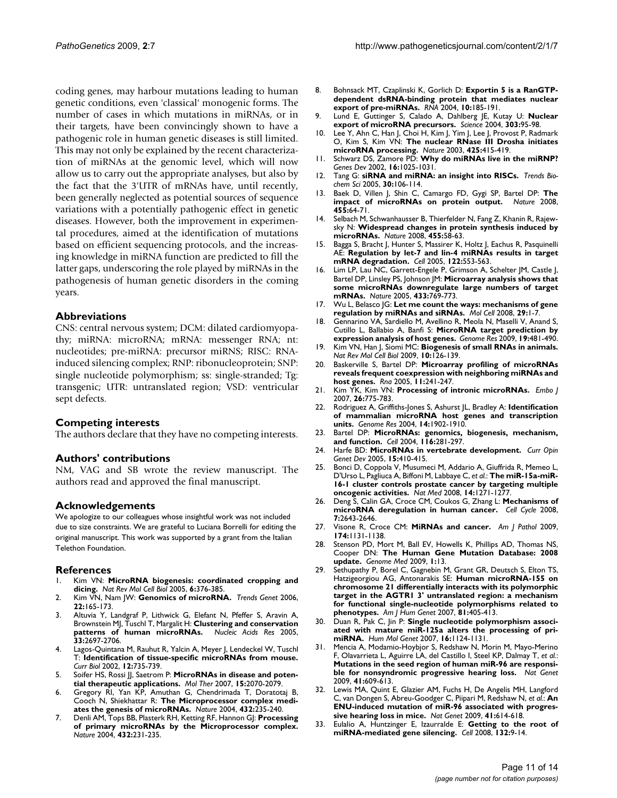coding genes, may harbour mutations leading to human genetic conditions, even 'classical' monogenic forms. The number of cases in which mutations in miRNAs, or in their targets, have been convincingly shown to have a pathogenic role in human genetic diseases is still limited. This may not only be explained by the recent characterization of miRNAs at the genomic level, which will now allow us to carry out the appropriate analyses, but also by the fact that the 3'UTR of mRNAs have, until recently, been generally neglected as potential sources of sequence variations with a potentially pathogenic effect in genetic diseases. However, both the improvement in experimental procedures, aimed at the identification of mutations based on efficient sequencing protocols, and the increasing knowledge in miRNA function are predicted to fill the latter gaps, underscoring the role played by miRNAs in the pathogenesis of human genetic disorders in the coming years.

#### **Abbreviations**

CNS: central nervous system; DCM: dilated cardiomyopathy; miRNA: microRNA; mRNA: messenger RNA; nt: nucleotides; pre-miRNA: precursor miRNS; RISC: RNAinduced silencing complex; RNP: ribonucleoprotein; SNP: single nucleotide polymorphism; ss: single-stranded; Tg: transgenic; UTR: untranslated region; VSD: ventricular sept defects.

#### **Competing interests**

The authors declare that they have no competing interests.

#### **Authors' contributions**

NM, VAG and SB wrote the review manuscript. The authors read and approved the final manuscript.

#### **Acknowledgements**

We apologize to our colleagues whose insightful work was not included due to size constraints. We are grateful to Luciana Borrelli for editing the original manuscript. This work was supported by a grant from the Italian Telethon Foundation.

#### **References**

- 1. Kim VN: **[MicroRNA biogenesis: coordinated cropping and](http://www.ncbi.nlm.nih.gov/entrez/query.fcgi?cmd=Retrieve&db=PubMed&dopt=Abstract&list_uids=15852042) [dicing.](http://www.ncbi.nlm.nih.gov/entrez/query.fcgi?cmd=Retrieve&db=PubMed&dopt=Abstract&list_uids=15852042)** *Nat Rev Mol Cell Biol* 2005, **6:**376-385.
- 2. Kim VN, Nam JW: **[Genomics of microRNA.](http://www.ncbi.nlm.nih.gov/entrez/query.fcgi?cmd=Retrieve&db=PubMed&dopt=Abstract&list_uids=16446010)** *Trends Genet* 2006, **22:**165-173.
- 3. Altuvia Y, Landgraf P, Lithwick G, Elefant N, Pfeffer S, Aravin A, Brownstein MJ, Tuschl T, Margalit H: **[Clustering and conservation](http://www.ncbi.nlm.nih.gov/entrez/query.fcgi?cmd=Retrieve&db=PubMed&dopt=Abstract&list_uids=15891114)** [patterns of human microRNAs.](http://www.ncbi.nlm.nih.gov/entrez/query.fcgi?cmd=Retrieve&db=PubMed&dopt=Abstract&list_uids=15891114) **33:**2697-2706.
- 4. Lagos-Quintana M, Rauhut R, Yalcin A, Meyer J, Lendeckel W, Tuschl T: **[Identification of tissue-specific microRNAs from mouse.](http://www.ncbi.nlm.nih.gov/entrez/query.fcgi?cmd=Retrieve&db=PubMed&dopt=Abstract&list_uids=12007417)** *Curr Biol* 2002, **12:**735-739.
- 5. Soifer HS, Rossi JJ, Saetrom P: [MicroRNAs in disease and poten](http://www.ncbi.nlm.nih.gov/entrez/query.fcgi?cmd=Retrieve&db=PubMed&dopt=Abstract&list_uids=17878899)**[tial therapeutic applications.](http://www.ncbi.nlm.nih.gov/entrez/query.fcgi?cmd=Retrieve&db=PubMed&dopt=Abstract&list_uids=17878899)** *Mol Ther* 2007, **15:**2070-2079.
- 6. Gregory RI, Yan KP, Amuthan G, Chendrimada T, Doratotaj B, Cooch N, Shiekhattar R: **[The Microprocessor complex medi](http://www.ncbi.nlm.nih.gov/entrez/query.fcgi?cmd=Retrieve&db=PubMed&dopt=Abstract&list_uids=15531877)[ates the genesis of microRNAs.](http://www.ncbi.nlm.nih.gov/entrez/query.fcgi?cmd=Retrieve&db=PubMed&dopt=Abstract&list_uids=15531877)** *Nature* 2004, **432:**235-240.
- 7. Denli AM, Tops BB, Plasterk RH, Ketting RF, Hannon GJ: **[Processing](http://www.ncbi.nlm.nih.gov/entrez/query.fcgi?cmd=Retrieve&db=PubMed&dopt=Abstract&list_uids=15531879) [of primary microRNAs by the Microprocessor complex.](http://www.ncbi.nlm.nih.gov/entrez/query.fcgi?cmd=Retrieve&db=PubMed&dopt=Abstract&list_uids=15531879)** *Nature* 2004, **432:**231-235.
- 8. Bohnsack MT, Czaplinski K, Gorlich D: **[Exportin 5 is a RanGTP](http://www.ncbi.nlm.nih.gov/entrez/query.fcgi?cmd=Retrieve&db=PubMed&dopt=Abstract&list_uids=14730017)[dependent dsRNA-binding protein that mediates nuclear](http://www.ncbi.nlm.nih.gov/entrez/query.fcgi?cmd=Retrieve&db=PubMed&dopt=Abstract&list_uids=14730017) [export of pre-miRNAs.](http://www.ncbi.nlm.nih.gov/entrez/query.fcgi?cmd=Retrieve&db=PubMed&dopt=Abstract&list_uids=14730017)** *RNA* 2004, **10:**185-191.
- 9. Lund E, Guttinger S, Calado A, Dahlberg JE, Kutay U: **[Nuclear](http://www.ncbi.nlm.nih.gov/entrez/query.fcgi?cmd=Retrieve&db=PubMed&dopt=Abstract&list_uids=14631048) [export of microRNA precursors.](http://www.ncbi.nlm.nih.gov/entrez/query.fcgi?cmd=Retrieve&db=PubMed&dopt=Abstract&list_uids=14631048)** *Science* 2004, **303:**95-98.
- 10. Lee Y, Ahn C, Han J, Choi H, Kim J, Yim J, Lee J, Provost P, Radmark O, Kim S, Kim VN: **[The nuclear RNase III Drosha initiates](http://www.ncbi.nlm.nih.gov/entrez/query.fcgi?cmd=Retrieve&db=PubMed&dopt=Abstract&list_uids=14508493) [microRNA processing.](http://www.ncbi.nlm.nih.gov/entrez/query.fcgi?cmd=Retrieve&db=PubMed&dopt=Abstract&list_uids=14508493)** *Nature* 2003, **425:**415-419.
- 11. Schwarz DS, Zamore PD: **[Why do miRNAs live in the miRNP?](http://www.ncbi.nlm.nih.gov/entrez/query.fcgi?cmd=Retrieve&db=PubMed&dopt=Abstract&list_uids=12000786)** *Genes Dev* 2002, **16:**1025-1031.
- 12. Tang G: **[siRNA and miRNA: an insight into RISCs.](http://www.ncbi.nlm.nih.gov/entrez/query.fcgi?cmd=Retrieve&db=PubMed&dopt=Abstract&list_uids=15691656)** *Trends Biochem Sci* 2005, **30:**106-114.
- 13. Baek D, Villen J, Shin C, Camargo FD, Gygi SP, Bartel DP: [The](http://www.ncbi.nlm.nih.gov/entrez/query.fcgi?cmd=Retrieve&db=PubMed&dopt=Abstract&list_uids=18668037) **[impact of microRNAs on protein output.](http://www.ncbi.nlm.nih.gov/entrez/query.fcgi?cmd=Retrieve&db=PubMed&dopt=Abstract&list_uids=18668037)** *Nature* 2008, **455:**64-71.
- 14. Selbach M, Schwanhausser B, Thierfelder N, Fang Z, Khanin R, Rajewsky N: **[Widespread changes in protein synthesis induced by](http://www.ncbi.nlm.nih.gov/entrez/query.fcgi?cmd=Retrieve&db=PubMed&dopt=Abstract&list_uids=18668040) [microRNAs.](http://www.ncbi.nlm.nih.gov/entrez/query.fcgi?cmd=Retrieve&db=PubMed&dopt=Abstract&list_uids=18668040)** *Nature* 2008, **455:**58-63.
- 15. Bagga S, Bracht J, Hunter S, Massirer K, Holtz J, Eachus R, Pasquinelli AE: **[Regulation by let-7 and lin-4 miRNAs results in target](http://www.ncbi.nlm.nih.gov/entrez/query.fcgi?cmd=Retrieve&db=PubMed&dopt=Abstract&list_uids=16122423) [mRNA degradation.](http://www.ncbi.nlm.nih.gov/entrez/query.fcgi?cmd=Retrieve&db=PubMed&dopt=Abstract&list_uids=16122423)** *Cell* 2005, **122:**553-563.
- 16. Lim LP, Lau NC, Garrett-Engele P, Grimson A, Schelter JM, Castle J, Bartel DP, Linsley PS, Johnson JM: **[Microarray analysis shows that](http://www.ncbi.nlm.nih.gov/entrez/query.fcgi?cmd=Retrieve&db=PubMed&dopt=Abstract&list_uids=15685193) [some microRNAs downregulate large numbers of target](http://www.ncbi.nlm.nih.gov/entrez/query.fcgi?cmd=Retrieve&db=PubMed&dopt=Abstract&list_uids=15685193) [mRNAs.](http://www.ncbi.nlm.nih.gov/entrez/query.fcgi?cmd=Retrieve&db=PubMed&dopt=Abstract&list_uids=15685193)** *Nature* 2005, **433:**769-773.
- 17. Wu L, Belasco JG: **[Let me count the ways: mechanisms of gene](http://www.ncbi.nlm.nih.gov/entrez/query.fcgi?cmd=Retrieve&db=PubMed&dopt=Abstract&list_uids=18206964) [regulation by miRNAs and siRNAs.](http://www.ncbi.nlm.nih.gov/entrez/query.fcgi?cmd=Retrieve&db=PubMed&dopt=Abstract&list_uids=18206964)** *Mol Cell* 2008, **29:**1-7.
- 18. Gennarino VA, Sardiello M, Avellino R, Meola N, Maselli V, Anand S, Cutillo L, Ballabio A, Banfi S: **[MicroRNA target prediction by](http://www.ncbi.nlm.nih.gov/entrez/query.fcgi?cmd=Retrieve&db=PubMed&dopt=Abstract&list_uids=19088304) [expression analysis of host genes.](http://www.ncbi.nlm.nih.gov/entrez/query.fcgi?cmd=Retrieve&db=PubMed&dopt=Abstract&list_uids=19088304)** *Genome Res* 2009, **19:**481-490.
- Kim VN, Han J, Siomi MC: [Biogenesis of small RNAs in animals.](http://www.ncbi.nlm.nih.gov/entrez/query.fcgi?cmd=Retrieve&db=PubMed&dopt=Abstract&list_uids=19165215) *Nat Rev Mol Cell Biol* 2009, **10:**126-139.
- 20. Baskerville S, Bartel DP: **[Microarray profiling of microRNAs](http://www.ncbi.nlm.nih.gov/entrez/query.fcgi?cmd=Retrieve&db=PubMed&dopt=Abstract&list_uids=15701730) [reveals frequent coexpression with neighboring miRNAs and](http://www.ncbi.nlm.nih.gov/entrez/query.fcgi?cmd=Retrieve&db=PubMed&dopt=Abstract&list_uids=15701730) [host genes.](http://www.ncbi.nlm.nih.gov/entrez/query.fcgi?cmd=Retrieve&db=PubMed&dopt=Abstract&list_uids=15701730)** *Rna* 2005, **11:**241-247.
- 21. Kim YK, Kim VN: **[Processing of intronic microRNAs.](http://www.ncbi.nlm.nih.gov/entrez/query.fcgi?cmd=Retrieve&db=PubMed&dopt=Abstract&list_uids=17255951)** *Embo J* 2007, **26:**775-783.
- 22. Rodriguez A, Griffiths-Jones S, Ashurst JL, Bradley A: **[Identification](http://www.ncbi.nlm.nih.gov/entrez/query.fcgi?cmd=Retrieve&db=PubMed&dopt=Abstract&list_uids=15364901) [of mammalian microRNA host genes and transcription](http://www.ncbi.nlm.nih.gov/entrez/query.fcgi?cmd=Retrieve&db=PubMed&dopt=Abstract&list_uids=15364901) [units.](http://www.ncbi.nlm.nih.gov/entrez/query.fcgi?cmd=Retrieve&db=PubMed&dopt=Abstract&list_uids=15364901)** *Genome Res* 2004, **14:**1902-1910.
- 23. Bartel DP: **[MicroRNAs: genomics, biogenesis, mechanism,](http://www.ncbi.nlm.nih.gov/entrez/query.fcgi?cmd=Retrieve&db=PubMed&dopt=Abstract&list_uids=14744438) [and function.](http://www.ncbi.nlm.nih.gov/entrez/query.fcgi?cmd=Retrieve&db=PubMed&dopt=Abstract&list_uids=14744438)** *Cell* 2004, **116:**281-297.
- 24. Harfe BD: **[MicroRNAs in vertebrate development.](http://www.ncbi.nlm.nih.gov/entrez/query.fcgi?cmd=Retrieve&db=PubMed&dopt=Abstract&list_uids=15979303)** *Curr Opin Genet Dev* 2005, **15:**410-415.
- 25. Bonci D, Coppola V, Musumeci M, Addario A, Giuffrida R, Memeo L, D'Urso L, Pagliuca A, Biffoni M, Labbaye C, *et al.*: **[The miR-15a-miR-](http://www.ncbi.nlm.nih.gov/entrez/query.fcgi?cmd=Retrieve&db=PubMed&dopt=Abstract&list_uids=18931683)[16-1 cluster controls prostate cancer by targeting multiple](http://www.ncbi.nlm.nih.gov/entrez/query.fcgi?cmd=Retrieve&db=PubMed&dopt=Abstract&list_uids=18931683) [oncogenic activities.](http://www.ncbi.nlm.nih.gov/entrez/query.fcgi?cmd=Retrieve&db=PubMed&dopt=Abstract&list_uids=18931683)** *Nat Med* 2008, **14:**1271-1277.
- 26. Deng S, Calin GA, Croce CM, Coukos G, Zhang L: **[Mechanisms of](http://www.ncbi.nlm.nih.gov/entrez/query.fcgi?cmd=Retrieve&db=PubMed&dopt=Abstract&list_uids=18719391) [microRNA deregulation in human cancer.](http://www.ncbi.nlm.nih.gov/entrez/query.fcgi?cmd=Retrieve&db=PubMed&dopt=Abstract&list_uids=18719391)** *Cell Cycle* 2008, **7:**2643-2646.
- 27. Visone R, Croce CM: **[MiRNAs and cancer.](http://www.ncbi.nlm.nih.gov/entrez/query.fcgi?cmd=Retrieve&db=PubMed&dopt=Abstract&list_uids=19264914)** *Am J Pathol* 2009, **174:**1131-1138.
- 28. Stenson PD, Mort M, Ball EV, Howells K, Phillips AD, Thomas NS, Cooper DN: **[The Human Gene Mutation Database: 2008](http://www.ncbi.nlm.nih.gov/entrez/query.fcgi?cmd=Retrieve&db=PubMed&dopt=Abstract&list_uids=19348700) [update.](http://www.ncbi.nlm.nih.gov/entrez/query.fcgi?cmd=Retrieve&db=PubMed&dopt=Abstract&list_uids=19348700)** *Genome Med* 2009, **1:**13.
- 29. Sethupathy P, Borel C, Gagnebin M, Grant GR, Deutsch S, Elton TS, Hatzigeorgiou AG, Antonarakis SE: **[Human microRNA-155 on](http://www.ncbi.nlm.nih.gov/entrez/query.fcgi?cmd=Retrieve&db=PubMed&dopt=Abstract&list_uids=17668390) [chromosome 21 differentially interacts with its polymorphic](http://www.ncbi.nlm.nih.gov/entrez/query.fcgi?cmd=Retrieve&db=PubMed&dopt=Abstract&list_uids=17668390) target in the AGTR1 3' untranslated region: a mechanism for functional single-nucleotide polymorphisms related to [phenotypes.](http://www.ncbi.nlm.nih.gov/entrez/query.fcgi?cmd=Retrieve&db=PubMed&dopt=Abstract&list_uids=17668390)** *Am J Hum Genet* 2007, **81:**405-413.
- 30. Duan R, Pak C, Jin P: **[Single nucleotide polymorphism associ](http://www.ncbi.nlm.nih.gov/entrez/query.fcgi?cmd=Retrieve&db=PubMed&dopt=Abstract&list_uids=17400653)[ated with mature miR-125a alters the processing of pri](http://www.ncbi.nlm.nih.gov/entrez/query.fcgi?cmd=Retrieve&db=PubMed&dopt=Abstract&list_uids=17400653)[miRNA.](http://www.ncbi.nlm.nih.gov/entrez/query.fcgi?cmd=Retrieve&db=PubMed&dopt=Abstract&list_uids=17400653)** *Hum Mol Genet* 2007, **16:**1124-1131.
- 31. Mencia A, Modamio-Hoybjor S, Redshaw N, Morin M, Mayo-Merino F, Olavarrieta L, Aguirre LA, del Castillo I, Steel KP, Dalmay T, *et al.*: **[Mutations in the seed region of human miR-96 are responsi](http://www.ncbi.nlm.nih.gov/entrez/query.fcgi?cmd=Retrieve&db=PubMed&dopt=Abstract&list_uids=19363479)[ble for nonsyndromic progressive hearing loss.](http://www.ncbi.nlm.nih.gov/entrez/query.fcgi?cmd=Retrieve&db=PubMed&dopt=Abstract&list_uids=19363479)** *Nat Genet* 2009, **41:**609-613.
- 32. Lewis MA, Quint E, Glazier AM, Fuchs H, De Angelis MH, Langford C, van Dongen S, Abreu-Goodger C, Piipari M, Redshaw N, *et al.*: **[An](http://www.ncbi.nlm.nih.gov/entrez/query.fcgi?cmd=Retrieve&db=PubMed&dopt=Abstract&list_uids=19363478) [ENU-induced mutation of miR-96 associated with progres](http://www.ncbi.nlm.nih.gov/entrez/query.fcgi?cmd=Retrieve&db=PubMed&dopt=Abstract&list_uids=19363478)[sive hearing loss in mice.](http://www.ncbi.nlm.nih.gov/entrez/query.fcgi?cmd=Retrieve&db=PubMed&dopt=Abstract&list_uids=19363478)** *Nat Genet* 2009, **41:**614-618.
- 33. Eulalio A, Huntzinger E, Izaurralde E: **[Getting to the root of](http://www.ncbi.nlm.nih.gov/entrez/query.fcgi?cmd=Retrieve&db=PubMed&dopt=Abstract&list_uids=18191211) [miRNA-mediated gene silencing.](http://www.ncbi.nlm.nih.gov/entrez/query.fcgi?cmd=Retrieve&db=PubMed&dopt=Abstract&list_uids=18191211)** *Cell* 2008, **132:**9-14.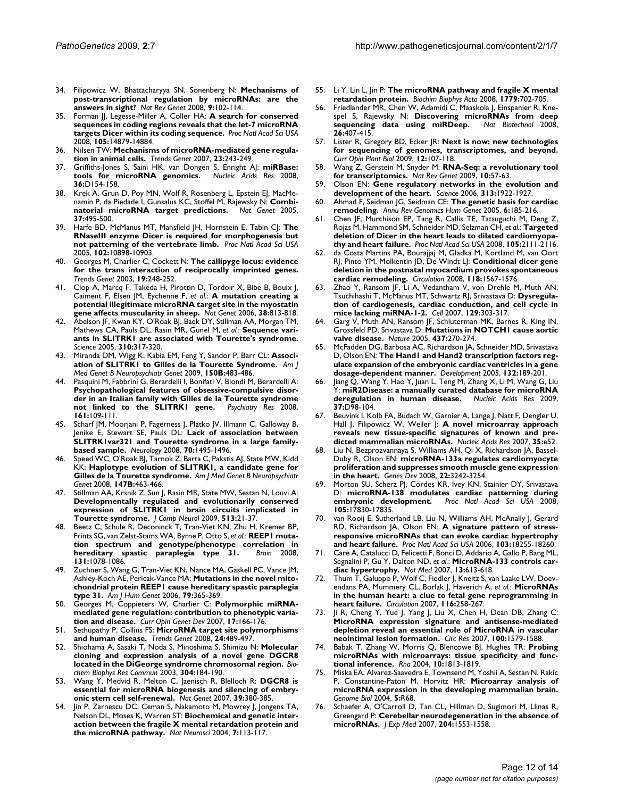- 34. Filipowicz W, Bhattacharyya SN, Sonenberg N: **[Mechanisms of](http://www.ncbi.nlm.nih.gov/entrez/query.fcgi?cmd=Retrieve&db=PubMed&dopt=Abstract&list_uids=18197166) [post-transcriptional regulation by microRNAs: are the](http://www.ncbi.nlm.nih.gov/entrez/query.fcgi?cmd=Retrieve&db=PubMed&dopt=Abstract&list_uids=18197166) [answers in sight?](http://www.ncbi.nlm.nih.gov/entrez/query.fcgi?cmd=Retrieve&db=PubMed&dopt=Abstract&list_uids=18197166)** *Nat Rev Genet* 2008, **9:**102-114.
- 35. Forman JJ, Legesse-Miller A, Coller HA: **[A search for conserved](http://www.ncbi.nlm.nih.gov/entrez/query.fcgi?cmd=Retrieve&db=PubMed&dopt=Abstract&list_uids=18812516) [sequences in coding regions reveals that the let-7 microRNA](http://www.ncbi.nlm.nih.gov/entrez/query.fcgi?cmd=Retrieve&db=PubMed&dopt=Abstract&list_uids=18812516) [targets Dicer within its coding sequence.](http://www.ncbi.nlm.nih.gov/entrez/query.fcgi?cmd=Retrieve&db=PubMed&dopt=Abstract&list_uids=18812516)** *Proc Natl Acad Sci USA* 2008, **105:**14879-14884.
- 36. Nilsen TW: **[Mechanisms of microRNA-mediated gene regula](http://www.ncbi.nlm.nih.gov/entrez/query.fcgi?cmd=Retrieve&db=PubMed&dopt=Abstract&list_uids=17368621)[tion in animal cells.](http://www.ncbi.nlm.nih.gov/entrez/query.fcgi?cmd=Retrieve&db=PubMed&dopt=Abstract&list_uids=17368621)** *Trends Genet* 2007, **23:**243-249.
- 37. Griffiths-Jones S, Saini HK, van Dongen S, Enright AJ: **[miRBase:](http://www.ncbi.nlm.nih.gov/entrez/query.fcgi?cmd=Retrieve&db=PubMed&dopt=Abstract&list_uids=17991681)** [tools for microRNA genomics.](http://www.ncbi.nlm.nih.gov/entrez/query.fcgi?cmd=Retrieve&db=PubMed&dopt=Abstract&list_uids=17991681) **36:**D154-158.
- 38. Krek A, Grun D, Poy MN, Wolf R, Rosenberg L, Epstein EJ, MacMenamin P, da Piedade I, Gunsalus KC, Stoffel M, Rajewsky N: **Combi-**<br> **natorial microRNA target predictions.** Nat Genet 2005. matorial microRNA target predictions. **37:**495-500.
- 39. Harfe BD, McManus MT, Mansfield JH, Hornstein E, Tabin CJ: **[The](http://www.ncbi.nlm.nih.gov/entrez/query.fcgi?cmd=Retrieve&db=PubMed&dopt=Abstract&list_uids=16040801) [RNaseIII enzyme Dicer is required for morphogenesis but](http://www.ncbi.nlm.nih.gov/entrez/query.fcgi?cmd=Retrieve&db=PubMed&dopt=Abstract&list_uids=16040801) [not patterning of the vertebrate limb.](http://www.ncbi.nlm.nih.gov/entrez/query.fcgi?cmd=Retrieve&db=PubMed&dopt=Abstract&list_uids=16040801)** *Proc Natl Acad Sci USA* 2005, **102:**10898-10903.
- 40. Georges M, Charlier C, Cockett N: **[The callipyge locus: evidence](http://www.ncbi.nlm.nih.gov/entrez/query.fcgi?cmd=Retrieve&db=PubMed&dopt=Abstract&list_uids=12711215) [for the trans interaction of reciprocally imprinted genes.](http://www.ncbi.nlm.nih.gov/entrez/query.fcgi?cmd=Retrieve&db=PubMed&dopt=Abstract&list_uids=12711215)** *Trends Genet* 2003, **19:**248-252.
- 41. Clop A, Marcq F, Takeda H, Pirottin D, Tordoir X, Bibe B, Bouix J, Caiment F, Elsen JM, Eychenne F, *et al.*: **[A mutation creating a](http://www.ncbi.nlm.nih.gov/entrez/query.fcgi?cmd=Retrieve&db=PubMed&dopt=Abstract&list_uids=16751773) [potential illegitimate microRNA target site in the myostatin](http://www.ncbi.nlm.nih.gov/entrez/query.fcgi?cmd=Retrieve&db=PubMed&dopt=Abstract&list_uids=16751773) [gene affects muscularity in sheep.](http://www.ncbi.nlm.nih.gov/entrez/query.fcgi?cmd=Retrieve&db=PubMed&dopt=Abstract&list_uids=16751773)** *Nat Genet* 2006, **38:**813-818.
- 42. Abelson JF, Kwan KY, O'Roak BJ, Baek DY, Stillman AA, Morgan TM, Mathews CA, Pauls DL, Rasin MR, Gunel M, *et al.*: **[Sequence vari](http://www.ncbi.nlm.nih.gov/entrez/query.fcgi?cmd=Retrieve&db=PubMed&dopt=Abstract&list_uids=16224024)[ants in SLITRK1 are associated with Tourette's syndrome.](http://www.ncbi.nlm.nih.gov/entrez/query.fcgi?cmd=Retrieve&db=PubMed&dopt=Abstract&list_uids=16224024)** *Science* 2005, **310:**317-320.
- 43. Miranda DM, Wigg K, Kabia EM, Feng Y, Sandor P, Barr CL: **[Associ](http://www.ncbi.nlm.nih.gov/entrez/query.fcgi?cmd=Retrieve&db=PubMed&dopt=Abstract&list_uids=18698576)[ation of SLITRK1 to Gilles de la Tourette Syndrome.](http://www.ncbi.nlm.nih.gov/entrez/query.fcgi?cmd=Retrieve&db=PubMed&dopt=Abstract&list_uids=18698576)** *Am J Med Genet B Neuropsychiatr Genet* 2009, **150B:**483-486.
- Pasquini M, Fabbrini G, Berardelli I, Bonifati V, Biondi M, Berardelli A: **[Psychopathological features of obsessive-compulsive disor](http://www.ncbi.nlm.nih.gov/entrez/query.fcgi?cmd=Retrieve&db=PubMed&dopt=Abstract&list_uids=18722020)der in an Italian family with Gilles de la Tourette syndrome [not linked to the SLITRK1 gene.](http://www.ncbi.nlm.nih.gov/entrez/query.fcgi?cmd=Retrieve&db=PubMed&dopt=Abstract&list_uids=18722020)** *Psychiatry Res* 2008, **161:**109-111.
- Scharf JM, Moorjani P, Fagerness J, Platko JV, Illmann C, Galloway B, Jenike E, Stewart SE, Pauls DL: **[Lack of association between](http://www.ncbi.nlm.nih.gov/entrez/query.fcgi?cmd=Retrieve&db=PubMed&dopt=Abstract&list_uids=18413575) [SLITRK1var321 and Tourette syndrome in a large family](http://www.ncbi.nlm.nih.gov/entrez/query.fcgi?cmd=Retrieve&db=PubMed&dopt=Abstract&list_uids=18413575)[based sample.](http://www.ncbi.nlm.nih.gov/entrez/query.fcgi?cmd=Retrieve&db=PubMed&dopt=Abstract&list_uids=18413575)** *Neurology* 2008, **70:**1495-1496.
- 46. Speed WC, O'Roak BJ, Tarnok Z, Barta C, Pakstis AJ, State MW, Kidd KK: **[Haplotype evolution of SLITRK1, a candidate gene for](http://www.ncbi.nlm.nih.gov/entrez/query.fcgi?cmd=Retrieve&db=PubMed&dopt=Abstract&list_uids=18004766) [Gilles de la Tourette syndrome.](http://www.ncbi.nlm.nih.gov/entrez/query.fcgi?cmd=Retrieve&db=PubMed&dopt=Abstract&list_uids=18004766)** *Am J Med Genet B Neuropsychiatr Genet* 2008, **147B:**463-466.
- 47. Stillman AA, Krsnik Z, Sun J, Rasin MR, State MW, Sestan N, Louvi A: **[Developmentally regulated and evolutionarily conserved](http://www.ncbi.nlm.nih.gov/entrez/query.fcgi?cmd=Retrieve&db=PubMed&dopt=Abstract&list_uids=19105198) expression of SLITRK1 in brain circuits implicated in [Tourette syndrome.](http://www.ncbi.nlm.nih.gov/entrez/query.fcgi?cmd=Retrieve&db=PubMed&dopt=Abstract&list_uids=19105198)** *J Comp Neurol* 2009, **513:**21-37.
- Beetz C, Schule R, Deconinck T, Tran-Viet KN, Zhu H, Kremer BP, Frints SG, van Zelst-Stams WA, Byrne P, Otto S, *et al.*: **[REEP1 muta](http://www.ncbi.nlm.nih.gov/entrez/query.fcgi?cmd=Retrieve&db=PubMed&dopt=Abstract&list_uids=18321925)[tion spectrum and genotype/phenotype correlation in](http://www.ncbi.nlm.nih.gov/entrez/query.fcgi?cmd=Retrieve&db=PubMed&dopt=Abstract&list_uids=18321925)** [hereditary spastic paraplegia type 31.](http://www.ncbi.nlm.nih.gov/entrez/query.fcgi?cmd=Retrieve&db=PubMed&dopt=Abstract&list_uids=18321925) **131:**1078-1086.
- 49. Zuchner S, Wang G, Tran-Viet KN, Nance MA, Gaskell PC, Vance JM, Ashley-Koch AE, Pericak-Vance MA: **[Mutations in the novel mito](http://www.ncbi.nlm.nih.gov/entrez/query.fcgi?cmd=Retrieve&db=PubMed&dopt=Abstract&list_uids=16826527)[chondrial protein REEP1 cause hereditary spastic paraplegia](http://www.ncbi.nlm.nih.gov/entrez/query.fcgi?cmd=Retrieve&db=PubMed&dopt=Abstract&list_uids=16826527) [type 31.](http://www.ncbi.nlm.nih.gov/entrez/query.fcgi?cmd=Retrieve&db=PubMed&dopt=Abstract&list_uids=16826527)** *Am J Hum Genet* 2006, **79:**365-369.
- 50. Georges M, Coppieters W, Charlier C: **[Polymorphic miRNA](http://www.ncbi.nlm.nih.gov/entrez/query.fcgi?cmd=Retrieve&db=PubMed&dopt=Abstract&list_uids=17467975)[mediated gene regulation: contribution to phenotypic varia](http://www.ncbi.nlm.nih.gov/entrez/query.fcgi?cmd=Retrieve&db=PubMed&dopt=Abstract&list_uids=17467975)[tion and disease.](http://www.ncbi.nlm.nih.gov/entrez/query.fcgi?cmd=Retrieve&db=PubMed&dopt=Abstract&list_uids=17467975)** *Curr Opin Genet Dev* 2007, **17:**166-176.
- 51. Sethupathy P, Collins FS: **[MicroRNA target site polymorphisms](http://www.ncbi.nlm.nih.gov/entrez/query.fcgi?cmd=Retrieve&db=PubMed&dopt=Abstract&list_uids=18778868) [and human disease.](http://www.ncbi.nlm.nih.gov/entrez/query.fcgi?cmd=Retrieve&db=PubMed&dopt=Abstract&list_uids=18778868)** *Trends Genet* 2008, **24:**489-497.
- 52. Shiohama A, Sasaki T, Noda S, Minoshima S, Shimizu N: **[Molecular](http://www.ncbi.nlm.nih.gov/entrez/query.fcgi?cmd=Retrieve&db=PubMed&dopt=Abstract&list_uids=12705904) [cloning and expression analysis of a novel gene DGCR8](http://www.ncbi.nlm.nih.gov/entrez/query.fcgi?cmd=Retrieve&db=PubMed&dopt=Abstract&list_uids=12705904) [located in the DiGeorge syndrome chromosomal region.](http://www.ncbi.nlm.nih.gov/entrez/query.fcgi?cmd=Retrieve&db=PubMed&dopt=Abstract&list_uids=12705904)** *Biochem Biophys Res Commun* 2003, **304:**184-190.
- 53. Wang Y, Medvid R, Melton C, Jaenisch R, Blelloch R: **[DGCR8 is](http://www.ncbi.nlm.nih.gov/entrez/query.fcgi?cmd=Retrieve&db=PubMed&dopt=Abstract&list_uids=17259983) [essential for microRNA biogenesis and silencing of embry](http://www.ncbi.nlm.nih.gov/entrez/query.fcgi?cmd=Retrieve&db=PubMed&dopt=Abstract&list_uids=17259983)[onic stem cell self-renewal.](http://www.ncbi.nlm.nih.gov/entrez/query.fcgi?cmd=Retrieve&db=PubMed&dopt=Abstract&list_uids=17259983)** *Nat Genet* 2007, **39:**380-385.
- Jin P, Zarnescu DC, Ceman S, Nakamoto M, Mowrey J, Jongens TA, Nelson DL, Moses K, Warren ST: **[Biochemical and genetic inter](http://www.ncbi.nlm.nih.gov/entrez/query.fcgi?cmd=Retrieve&db=PubMed&dopt=Abstract&list_uids=14703574)[action between the fragile X mental retardation protein and](http://www.ncbi.nlm.nih.gov/entrez/query.fcgi?cmd=Retrieve&db=PubMed&dopt=Abstract&list_uids=14703574) [the microRNA pathway.](http://www.ncbi.nlm.nih.gov/entrez/query.fcgi?cmd=Retrieve&db=PubMed&dopt=Abstract&list_uids=14703574)** *Nat Neurosci* 2004, **7:**113-117.
- 55. Li Y, Lin L, Jin P: **[The microRNA pathway and fragile X mental](http://www.ncbi.nlm.nih.gov/entrez/query.fcgi?cmd=Retrieve&db=PubMed&dopt=Abstract&list_uids=18687414) [retardation protein.](http://www.ncbi.nlm.nih.gov/entrez/query.fcgi?cmd=Retrieve&db=PubMed&dopt=Abstract&list_uids=18687414)** *Biochim Biophys Acta* 2008, **1779:**702-705.
- 56. Friedlander MR, Chen W, Adamidi C, Maaskola J, Einspanier R, Kne-spel S, Rajewsky N: [Discovering microRNAs from deep](http://www.ncbi.nlm.nih.gov/entrez/query.fcgi?cmd=Retrieve&db=PubMed&dopt=Abstract&list_uids=18392026) sequencing data using miRDeep. Nat Biotechnol 2008, [sequencing data using miRDeep.](http://www.ncbi.nlm.nih.gov/entrez/query.fcgi?cmd=Retrieve&db=PubMed&dopt=Abstract&list_uids=18392026) **26:**407-415.
- 57. Lister R, Gregory BD, Ecker JR: **[Next is now: new technologies](http://www.ncbi.nlm.nih.gov/entrez/query.fcgi?cmd=Retrieve&db=PubMed&dopt=Abstract&list_uids=19157957) [for sequencing of genomes, transcriptomes, and beyond.](http://www.ncbi.nlm.nih.gov/entrez/query.fcgi?cmd=Retrieve&db=PubMed&dopt=Abstract&list_uids=19157957)** *Curr Opin Plant Biol* 2009, **12:**107-118.
- 58. Wang Z, Gerstein M, Snyder M: **[RNA-Seq: a revolutionary tool](http://www.ncbi.nlm.nih.gov/entrez/query.fcgi?cmd=Retrieve&db=PubMed&dopt=Abstract&list_uids=19015660) [for transcriptomics.](http://www.ncbi.nlm.nih.gov/entrez/query.fcgi?cmd=Retrieve&db=PubMed&dopt=Abstract&list_uids=19015660)** *Nat Rev Genet* 2009, **10:**57-63.
- 59. Olson EN: **[Gene regulatory networks in the evolution and](http://www.ncbi.nlm.nih.gov/entrez/query.fcgi?cmd=Retrieve&db=PubMed&dopt=Abstract&list_uids=17008524) [development of the heart.](http://www.ncbi.nlm.nih.gov/entrez/query.fcgi?cmd=Retrieve&db=PubMed&dopt=Abstract&list_uids=17008524)** *Science* 2006, **313:**1922-1927.
- 60. Ahmad F, Seidman JG, Seidman CE: **[The genetic basis for cardiac](http://www.ncbi.nlm.nih.gov/entrez/query.fcgi?cmd=Retrieve&db=PubMed&dopt=Abstract&list_uids=16124859) [remodeling.](http://www.ncbi.nlm.nih.gov/entrez/query.fcgi?cmd=Retrieve&db=PubMed&dopt=Abstract&list_uids=16124859)** *Annu Rev Genomics Hum Genet* 2005, **6:**185-216.
- 61. Chen JF, Murchison EP, Tang R, Callis TE, Tatsuguchi M, Deng Z, Rojas M, Hammond SM, Schneider MD, Selzman CH, *et al.*: **[Targeted](http://www.ncbi.nlm.nih.gov/entrez/query.fcgi?cmd=Retrieve&db=PubMed&dopt=Abstract&list_uids=18256189) [deletion of Dicer in the heart leads to dilated cardiomyopa](http://www.ncbi.nlm.nih.gov/entrez/query.fcgi?cmd=Retrieve&db=PubMed&dopt=Abstract&list_uids=18256189)[thy and heart failure.](http://www.ncbi.nlm.nih.gov/entrez/query.fcgi?cmd=Retrieve&db=PubMed&dopt=Abstract&list_uids=18256189)** *Proc Natl Acad Sci USA* 2008, **105:**2111-2116.
- 62. da Costa Martins PA, Bourajjaj M, Gladka M, Kortland M, van Oort RJ, Pinto YM, Molkentin JD, De Windt LJ: **[Conditional dicer gene](http://www.ncbi.nlm.nih.gov/entrez/query.fcgi?cmd=Retrieve&db=PubMed&dopt=Abstract&list_uids=18809798) [deletion in the postnatal myocardium provokes spontaneous](http://www.ncbi.nlm.nih.gov/entrez/query.fcgi?cmd=Retrieve&db=PubMed&dopt=Abstract&list_uids=18809798) [cardiac remodeling.](http://www.ncbi.nlm.nih.gov/entrez/query.fcgi?cmd=Retrieve&db=PubMed&dopt=Abstract&list_uids=18809798)** *Circulation* 2008, **118:**1567-1576.
- 63. Zhao Y, Ransom JF, Li A, Vedantham V, von Drehle M, Muth AN, Tsuchihashi T, McManus MT, Schwartz RJ, Srivastava D: **[Dysregula](http://www.ncbi.nlm.nih.gov/entrez/query.fcgi?cmd=Retrieve&db=PubMed&dopt=Abstract&list_uids=17397913)[tion of cardiogenesis, cardiac conduction, and cell cycle in](http://www.ncbi.nlm.nih.gov/entrez/query.fcgi?cmd=Retrieve&db=PubMed&dopt=Abstract&list_uids=17397913) [mice lacking miRNA-1-2.](http://www.ncbi.nlm.nih.gov/entrez/query.fcgi?cmd=Retrieve&db=PubMed&dopt=Abstract&list_uids=17397913)** *Cell* 2007, **129:**303-317.
- 64. Garg V, Muth AN, Ransom JF, Schluterman MK, Barnes R, King IN, Grossfeld PD, Srivastava D: **[Mutations in NOTCH1 cause aortic](http://www.ncbi.nlm.nih.gov/entrez/query.fcgi?cmd=Retrieve&db=PubMed&dopt=Abstract&list_uids=16025100) [valve disease.](http://www.ncbi.nlm.nih.gov/entrez/query.fcgi?cmd=Retrieve&db=PubMed&dopt=Abstract&list_uids=16025100)** *Nature* 2005, **437:**270-274.
- McFadden DG, Barbosa AC, Richardson JA, Schneider MD, Srivastava D, Olson EN: **[The Hand1 and Hand2 transcription factors reg](http://www.ncbi.nlm.nih.gov/entrez/query.fcgi?cmd=Retrieve&db=PubMed&dopt=Abstract&list_uids=15576406)[ulate expansion of the embryonic cardiac ventricles in a gene](http://www.ncbi.nlm.nih.gov/entrez/query.fcgi?cmd=Retrieve&db=PubMed&dopt=Abstract&list_uids=15576406) [dosage-dependent manner.](http://www.ncbi.nlm.nih.gov/entrez/query.fcgi?cmd=Retrieve&db=PubMed&dopt=Abstract&list_uids=15576406)** *Development* 2005, **132:**189-201.
- Jiang Q, Wang Y, Hao Y, Juan L, Teng M, Zhang X, Li M, Wang G, Liu Y: **[miR2Disease: a manually curated database for microRNA](http://www.ncbi.nlm.nih.gov/entrez/query.fcgi?cmd=Retrieve&db=PubMed&dopt=Abstract&list_uids=18927107)** [deregulation in human disease.](http://www.ncbi.nlm.nih.gov/entrez/query.fcgi?cmd=Retrieve&db=PubMed&dopt=Abstract&list_uids=18927107) **37:**D98-104.
- Beuvink I, Kolb FA, Budach W, Garnier A, Lange J, Natt F, Dengler U, Hall J, Filipowicz W, Weiler J: **[A novel microarray approach](http://www.ncbi.nlm.nih.gov/entrez/query.fcgi?cmd=Retrieve&db=PubMed&dopt=Abstract&list_uids=17355992) [reveals new tissue-specific signatures of known and pre](http://www.ncbi.nlm.nih.gov/entrez/query.fcgi?cmd=Retrieve&db=PubMed&dopt=Abstract&list_uids=17355992)[dicted mammalian microRNAs.](http://www.ncbi.nlm.nih.gov/entrez/query.fcgi?cmd=Retrieve&db=PubMed&dopt=Abstract&list_uids=17355992)** *Nucleic Acids Res* 2007, **35:**e52.
- 68. Liu N, Bezprozvannaya S, Williams AH, Qi X, Richardson JA, Bassel-Duby R, Olson EN: **[microRNA-133a regulates cardiomyocyte](http://www.ncbi.nlm.nih.gov/entrez/query.fcgi?cmd=Retrieve&db=PubMed&dopt=Abstract&list_uids=19015276) [proliferation and suppresses smooth muscle gene expression](http://www.ncbi.nlm.nih.gov/entrez/query.fcgi?cmd=Retrieve&db=PubMed&dopt=Abstract&list_uids=19015276) [in the heart.](http://www.ncbi.nlm.nih.gov/entrez/query.fcgi?cmd=Retrieve&db=PubMed&dopt=Abstract&list_uids=19015276)** *Genes Dev* 2008, **22:**3242-3254.
- 69. Morton SU, Scherz PJ, Cordes KR, Ivey KN, Stainier DY, Srivastava D: **[microRNA-138 modulates cardiac patterning during](http://www.ncbi.nlm.nih.gov/entrez/query.fcgi?cmd=Retrieve&db=PubMed&dopt=Abstract&list_uids=19004786) [embryonic development.](http://www.ncbi.nlm.nih.gov/entrez/query.fcgi?cmd=Retrieve&db=PubMed&dopt=Abstract&list_uids=19004786)** *Proc Natl Acad Sci USA* 2008, **105:**17830-17835.
- 70. van Rooij E, Sutherland LB, Liu N, Williams AH, McAnally J, Gerard RD, Richardson JA, Olson EN: **[A signature pattern of stress](http://www.ncbi.nlm.nih.gov/entrez/query.fcgi?cmd=Retrieve&db=PubMed&dopt=Abstract&list_uids=17108080)[responsive microRNAs that can evoke cardiac hypertrophy](http://www.ncbi.nlm.nih.gov/entrez/query.fcgi?cmd=Retrieve&db=PubMed&dopt=Abstract&list_uids=17108080) [and heart failure.](http://www.ncbi.nlm.nih.gov/entrez/query.fcgi?cmd=Retrieve&db=PubMed&dopt=Abstract&list_uids=17108080)** *Proc Natl Acad Sci USA* 2006, **103:**18255-18260.
- 71. Care A, Catalucci D, Felicetti F, Bonci D, Addario A, Gallo P, Bang ML, Segnalini P, Gu Y, Dalton ND, *et al.*: **[MicroRNA-133 controls car](http://www.ncbi.nlm.nih.gov/entrez/query.fcgi?cmd=Retrieve&db=PubMed&dopt=Abstract&list_uids=17468766)[diac hypertrophy.](http://www.ncbi.nlm.nih.gov/entrez/query.fcgi?cmd=Retrieve&db=PubMed&dopt=Abstract&list_uids=17468766)** *Nat Med* 2007, **13:**613-618.
- Thum T, Galuppo P, Wolf C, Fiedler J, Kneitz S, van Laake LW, Doevendans PA, Mummery CL, Borlak J, Haverich A, *et al.*: **[MicroRNAs](http://www.ncbi.nlm.nih.gov/entrez/query.fcgi?cmd=Retrieve&db=PubMed&dopt=Abstract&list_uids=17606841) [in the human heart: a clue to fetal gene reprogramming in](http://www.ncbi.nlm.nih.gov/entrez/query.fcgi?cmd=Retrieve&db=PubMed&dopt=Abstract&list_uids=17606841) [heart failure.](http://www.ncbi.nlm.nih.gov/entrez/query.fcgi?cmd=Retrieve&db=PubMed&dopt=Abstract&list_uids=17606841)** *Circulation* 2007, **116:**258-267.
- 73. Ji R, Cheng Y, Yue J, Yang J, Liu X, Chen H, Dean DB, Zhang C: **[MicroRNA expression signature and antisense-mediated](http://www.ncbi.nlm.nih.gov/entrez/query.fcgi?cmd=Retrieve&db=PubMed&dopt=Abstract&list_uids=17478730) depletion reveal an essential role of MicroRNA in vascular [neointimal lesion formation.](http://www.ncbi.nlm.nih.gov/entrez/query.fcgi?cmd=Retrieve&db=PubMed&dopt=Abstract&list_uids=17478730)** *Circ Res* 2007, **100:**1579-1588.
- 74. Babak T, Zhang W, Morris Q, Blencowe BJ, Hughes TR: **[Probing](http://www.ncbi.nlm.nih.gov/entrez/query.fcgi?cmd=Retrieve&db=PubMed&dopt=Abstract&list_uids=15496526) [microRNAs with microarrays: tissue specificity and func](http://www.ncbi.nlm.nih.gov/entrez/query.fcgi?cmd=Retrieve&db=PubMed&dopt=Abstract&list_uids=15496526)[tional inference.](http://www.ncbi.nlm.nih.gov/entrez/query.fcgi?cmd=Retrieve&db=PubMed&dopt=Abstract&list_uids=15496526)** *Rna* 2004, **10:**1813-1819.
- 75. Miska EA, Alvarez-Saavedra E, Townsend M, Yoshii A, Sestan N, Rakic P, Constantine-Paton M, Horvitz HR: **[Microarray analysis of](http://www.ncbi.nlm.nih.gov/entrez/query.fcgi?cmd=Retrieve&db=PubMed&dopt=Abstract&list_uids=15345052) [microRNA expression in the developing mammalian brain.](http://www.ncbi.nlm.nih.gov/entrez/query.fcgi?cmd=Retrieve&db=PubMed&dopt=Abstract&list_uids=15345052)** *Genome Biol* 2004, **5:**R68.
- 76. Schaefer A, O'Carroll D, Tan CL, Hillman D, Sugimori M, Llinas R, Greengard P: **[Cerebellar neurodegeneration in the absence of](http://www.ncbi.nlm.nih.gov/entrez/query.fcgi?cmd=Retrieve&db=PubMed&dopt=Abstract&list_uids=17606634) [microRNAs.](http://www.ncbi.nlm.nih.gov/entrez/query.fcgi?cmd=Retrieve&db=PubMed&dopt=Abstract&list_uids=17606634)** *J Exp Med* 2007, **204:**1553-1558.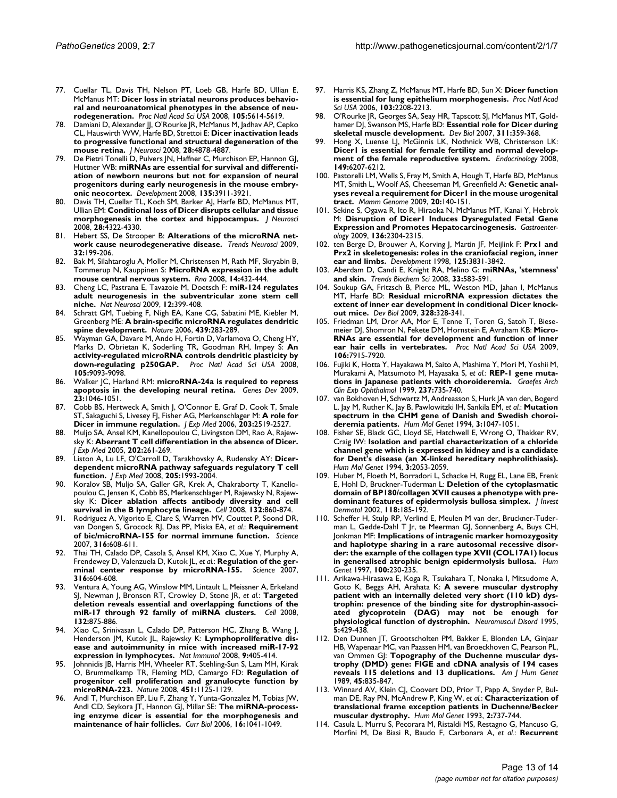- 77. Cuellar TL, Davis TH, Nelson PT, Loeb GB, Harfe BD, Ullian E, McManus MT: **[Dicer loss in striatal neurons produces behavio](http://www.ncbi.nlm.nih.gov/entrez/query.fcgi?cmd=Retrieve&db=PubMed&dopt=Abstract&list_uids=18385371)[ral and neuroanatomical phenotypes in the absence of neu](http://www.ncbi.nlm.nih.gov/entrez/query.fcgi?cmd=Retrieve&db=PubMed&dopt=Abstract&list_uids=18385371)[rodegeneration.](http://www.ncbi.nlm.nih.gov/entrez/query.fcgi?cmd=Retrieve&db=PubMed&dopt=Abstract&list_uids=18385371)** *Proc Natl Acad Sci USA* 2008, **105:**5614-5619.
- 78. Damiani D, Alexander JJ, O'Rourke JR, McManus M, Jadhav AP, Cepko CL, Hauswirth WW, Harfe BD, Strettoi E: **[Dicer inactivation leads](http://www.ncbi.nlm.nih.gov/entrez/query.fcgi?cmd=Retrieve&db=PubMed&dopt=Abstract&list_uids=18463241) [to progressive functional and structural degeneration of the](http://www.ncbi.nlm.nih.gov/entrez/query.fcgi?cmd=Retrieve&db=PubMed&dopt=Abstract&list_uids=18463241) [mouse retina.](http://www.ncbi.nlm.nih.gov/entrez/query.fcgi?cmd=Retrieve&db=PubMed&dopt=Abstract&list_uids=18463241)** *J Neurosci* 2008, **28:**4878-4887.
- 79. De Pietri Tonelli D, Pulvers JN, Haffner C, Murchison EP, Hannon GJ, Huttner WB: **[miRNAs are essential for survival and differenti](http://www.ncbi.nlm.nih.gov/entrez/query.fcgi?cmd=Retrieve&db=PubMed&dopt=Abstract&list_uids=18997113)[ation of newborn neurons but not for expansion of neural](http://www.ncbi.nlm.nih.gov/entrez/query.fcgi?cmd=Retrieve&db=PubMed&dopt=Abstract&list_uids=18997113) progenitors during early neurogenesis in the mouse embry[onic neocortex.](http://www.ncbi.nlm.nih.gov/entrez/query.fcgi?cmd=Retrieve&db=PubMed&dopt=Abstract&list_uids=18997113)** *Development* 2008, **135:**3911-3921.
- 80. Davis TH, Cuellar TL, Koch SM, Barker AJ, Harfe BD, McManus MT, Ullian EM: **[Conditional loss of Dicer disrupts cellular and tissue](http://www.ncbi.nlm.nih.gov/entrez/query.fcgi?cmd=Retrieve&db=PubMed&dopt=Abstract&list_uids=18434510) [morphogenesis in the cortex and hippocampus.](http://www.ncbi.nlm.nih.gov/entrez/query.fcgi?cmd=Retrieve&db=PubMed&dopt=Abstract&list_uids=18434510)** *J Neurosci* 2008, **28:**4322-4330.
- 81. Hebert SS, De Strooper B: **[Alterations of the microRNA net](http://www.ncbi.nlm.nih.gov/entrez/query.fcgi?cmd=Retrieve&db=PubMed&dopt=Abstract&list_uids=19268374)[work cause neurodegenerative disease.](http://www.ncbi.nlm.nih.gov/entrez/query.fcgi?cmd=Retrieve&db=PubMed&dopt=Abstract&list_uids=19268374)** *Trends Neurosci* 2009, **32:**199-206.
- 82. Bak M, Silahtaroglu A, Moller M, Christensen M, Rath MF, Skryabin B, Tommerup N, Kauppinen S: **[MicroRNA expression in the adult](http://www.ncbi.nlm.nih.gov/entrez/query.fcgi?cmd=Retrieve&db=PubMed&dopt=Abstract&list_uids=18230762) [mouse central nervous system.](http://www.ncbi.nlm.nih.gov/entrez/query.fcgi?cmd=Retrieve&db=PubMed&dopt=Abstract&list_uids=18230762)** *Rna* 2008, **14:**432-444.
- 83. Cheng LC, Pastrana E, Tavazoie M, Doetsch F: **[miR-124 regulates](http://www.ncbi.nlm.nih.gov/entrez/query.fcgi?cmd=Retrieve&db=PubMed&dopt=Abstract&list_uids=19287386) [adult neurogenesis in the subventricular zone stem cell](http://www.ncbi.nlm.nih.gov/entrez/query.fcgi?cmd=Retrieve&db=PubMed&dopt=Abstract&list_uids=19287386) [niche.](http://www.ncbi.nlm.nih.gov/entrez/query.fcgi?cmd=Retrieve&db=PubMed&dopt=Abstract&list_uids=19287386)** *Nat Neurosci* 2009, **12:**399-408.
- Schratt GM, Tuebing F, Nigh EA, Kane CG, Sabatini ME, Kiebler M, Greenberg ME: **[A brain-specific microRNA regulates dendritic](http://www.ncbi.nlm.nih.gov/entrez/query.fcgi?cmd=Retrieve&db=PubMed&dopt=Abstract&list_uids=16421561) [spine development.](http://www.ncbi.nlm.nih.gov/entrez/query.fcgi?cmd=Retrieve&db=PubMed&dopt=Abstract&list_uids=16421561)** *Nature* 2006, **439:**283-289.
- 85. Wayman GA, Davare M, Ando H, Fortin D, Varlamova O, Cheng HY, Marks D, Obrietan K, Soderling TR, Goodman RH, Impey S: **[An](http://www.ncbi.nlm.nih.gov/entrez/query.fcgi?cmd=Retrieve&db=PubMed&dopt=Abstract&list_uids=18577589) [activity-regulated microRNA controls dendritic plasticity by](http://www.ncbi.nlm.nih.gov/entrez/query.fcgi?cmd=Retrieve&db=PubMed&dopt=Abstract&list_uids=18577589) [down-regulating p250GAP.](http://www.ncbi.nlm.nih.gov/entrez/query.fcgi?cmd=Retrieve&db=PubMed&dopt=Abstract&list_uids=18577589)** *Proc Natl Acad Sci USA* 2008, **105:**9093-9098.
- 86. Walker JC, Harland RM: **[microRNA-24a is required to repress](http://www.ncbi.nlm.nih.gov/entrez/query.fcgi?cmd=Retrieve&db=PubMed&dopt=Abstract&list_uids=19372388) [apoptosis in the developing neural retina.](http://www.ncbi.nlm.nih.gov/entrez/query.fcgi?cmd=Retrieve&db=PubMed&dopt=Abstract&list_uids=19372388)** *Genes Dev* 2009, **23:**1046-1051.
- 87. Cobb BS, Hertweck A, Smith J, O'Connor E, Graf D, Cook T, Smale ST, Sakaguchi S, Livesey FJ, Fisher AG, Merkenschlager M: **[A role for](http://www.ncbi.nlm.nih.gov/entrez/query.fcgi?cmd=Retrieve&db=PubMed&dopt=Abstract&list_uids=17060477) [Dicer in immune regulation.](http://www.ncbi.nlm.nih.gov/entrez/query.fcgi?cmd=Retrieve&db=PubMed&dopt=Abstract&list_uids=17060477)** *J Exp Med* 2006, **203:**2519-2527.
- 88. Muljo SA, Ansel KM, Kanellopoulou C, Livingston DM, Rao A, Rajewsky K: **[Aberrant T cell differentiation in the absence of Dicer.](http://www.ncbi.nlm.nih.gov/entrez/query.fcgi?cmd=Retrieve&db=PubMed&dopt=Abstract&list_uids=16009718)** *J Exp Med* 2005, **202:**261-269.
- 89. Liston A, Lu LF, O'Carroll D, Tarakhovsky A, Rudensky AY: **[Dicer](http://www.ncbi.nlm.nih.gov/entrez/query.fcgi?cmd=Retrieve&db=PubMed&dopt=Abstract&list_uids=18725526)[dependent microRNA pathway safeguards regulatory T cell](http://www.ncbi.nlm.nih.gov/entrez/query.fcgi?cmd=Retrieve&db=PubMed&dopt=Abstract&list_uids=18725526) [function.](http://www.ncbi.nlm.nih.gov/entrez/query.fcgi?cmd=Retrieve&db=PubMed&dopt=Abstract&list_uids=18725526)** *J Exp Med* 2008, **205:**1993-2004.
- 90. Koralov SB, Muljo SA, Galler GR, Krek A, Chakraborty T, Kanellopoulou C, Jensen K, Cobb BS, Merkenschlager M, Rajewsky N, Rajewsky K: **[Dicer ablation affects antibody diversity and cell](http://www.ncbi.nlm.nih.gov/entrez/query.fcgi?cmd=Retrieve&db=PubMed&dopt=Abstract&list_uids=18329371) [survival in the B lymphocyte lineage.](http://www.ncbi.nlm.nih.gov/entrez/query.fcgi?cmd=Retrieve&db=PubMed&dopt=Abstract&list_uids=18329371)** *Cell* 2008, **132:**860-874.
- 91. Rodriguez A, Vigorito E, Clare S, Warren MV, Couttet P, Soond DR, van Dongen S, Grocock RJ, Das PP, Miska EA, *et al.*: **[Requirement](http://www.ncbi.nlm.nih.gov/entrez/query.fcgi?cmd=Retrieve&db=PubMed&dopt=Abstract&list_uids=17463290) [of bic/microRNA-155 for normal immune function.](http://www.ncbi.nlm.nih.gov/entrez/query.fcgi?cmd=Retrieve&db=PubMed&dopt=Abstract&list_uids=17463290)** *Science* 2007, **316:**608-611.
- 92. Thai TH, Calado DP, Casola S, Ansel KM, Xiao C, Xue Y, Murphy A, Frendewey D, Valenzuela D, Kutok JL, *et al.*: **[Regulation of the ger](http://www.ncbi.nlm.nih.gov/entrez/query.fcgi?cmd=Retrieve&db=PubMed&dopt=Abstract&list_uids=17463289)[minal center response by microRNA-155.](http://www.ncbi.nlm.nih.gov/entrez/query.fcgi?cmd=Retrieve&db=PubMed&dopt=Abstract&list_uids=17463289)** *Science* 2007, **316:**604-608.
- 93. Ventura A, Young AG, Winslow MM, Lintault L, Meissner A, Erkeland SJ, Newman J, Bronson RT, Crowley D, Stone JR, *et al.*: **[Targeted](http://www.ncbi.nlm.nih.gov/entrez/query.fcgi?cmd=Retrieve&db=PubMed&dopt=Abstract&list_uids=18329372) [deletion reveals essential and overlapping functions of the](http://www.ncbi.nlm.nih.gov/entrez/query.fcgi?cmd=Retrieve&db=PubMed&dopt=Abstract&list_uids=18329372) [miR-17 through 92 family of miRNA clusters.](http://www.ncbi.nlm.nih.gov/entrez/query.fcgi?cmd=Retrieve&db=PubMed&dopt=Abstract&list_uids=18329372)** *Cell* 2008, **132:**875-886.
- Xiao C, Srinivasan L, Calado DP, Patterson HC, Zhang B, Wang J, Henderson JM, Kutok JL, Rajewsky K: **[Lymphoproliferative dis](http://www.ncbi.nlm.nih.gov/entrez/query.fcgi?cmd=Retrieve&db=PubMed&dopt=Abstract&list_uids=18327259)[ease and autoimmunity in mice with increased miR-17-92](http://www.ncbi.nlm.nih.gov/entrez/query.fcgi?cmd=Retrieve&db=PubMed&dopt=Abstract&list_uids=18327259) [expression in lymphocytes.](http://www.ncbi.nlm.nih.gov/entrez/query.fcgi?cmd=Retrieve&db=PubMed&dopt=Abstract&list_uids=18327259)** *Nat Immunol* 2008, **9:**405-414.
- 95. Johnnidis JB, Harris MH, Wheeler RT, Stehling-Sun S, Lam MH, Kirak O, Brummelkamp TR, Fleming MD, Camargo FD: **[Regulation of](http://www.ncbi.nlm.nih.gov/entrez/query.fcgi?cmd=Retrieve&db=PubMed&dopt=Abstract&list_uids=18278031) [progenitor cell proliferation and granulocyte function by](http://www.ncbi.nlm.nih.gov/entrez/query.fcgi?cmd=Retrieve&db=PubMed&dopt=Abstract&list_uids=18278031) [microRNA-223.](http://www.ncbi.nlm.nih.gov/entrez/query.fcgi?cmd=Retrieve&db=PubMed&dopt=Abstract&list_uids=18278031)** *Nature* 2008, **451:**1125-1129.
- 96. Andl T, Murchison EP, Liu F, Zhang Y, Yunta-Gonzalez M, Tobias JW, Andl CD, Seykora JT, Hannon GJ, Millar SE: **[The miRNA-process](http://www.ncbi.nlm.nih.gov/entrez/query.fcgi?cmd=Retrieve&db=PubMed&dopt=Abstract&list_uids=16682203)[ing enzyme dicer is essential for the morphogenesis and](http://www.ncbi.nlm.nih.gov/entrez/query.fcgi?cmd=Retrieve&db=PubMed&dopt=Abstract&list_uids=16682203) [maintenance of hair follicles.](http://www.ncbi.nlm.nih.gov/entrez/query.fcgi?cmd=Retrieve&db=PubMed&dopt=Abstract&list_uids=16682203)** *Curr Biol* 2006, **16:**1041-1049.
- 97. Harris KS, Zhang Z, McManus MT, Harfe BD, Sun X: **[Dicer function](http://www.ncbi.nlm.nih.gov/entrez/query.fcgi?cmd=Retrieve&db=PubMed&dopt=Abstract&list_uids=16452165) [is essential for lung epithelium morphogenesis.](http://www.ncbi.nlm.nih.gov/entrez/query.fcgi?cmd=Retrieve&db=PubMed&dopt=Abstract&list_uids=16452165)** *Proc Natl Acad Sci USA* 2006, **103:**2208-2213.
- 98. O'Rourke JR, Georges SA, Seay HR, Tapscott SJ, McManus MT, Goldhamer DJ, Swanson MS, Harfe BD: **[Essential role for Dicer during](http://www.ncbi.nlm.nih.gov/entrez/query.fcgi?cmd=Retrieve&db=PubMed&dopt=Abstract&list_uids=17936265) [skeletal muscle development.](http://www.ncbi.nlm.nih.gov/entrez/query.fcgi?cmd=Retrieve&db=PubMed&dopt=Abstract&list_uids=17936265)** *Dev Biol* 2007, **311:**359-368.
- Hong X, Luense LJ, McGinnis LK, Nothnick WB, Christenson LK: **[Dicer1 is essential for female fertility and normal develop](http://www.ncbi.nlm.nih.gov/entrez/query.fcgi?cmd=Retrieve&db=PubMed&dopt=Abstract&list_uids=18703631)[ment of the female reproductive system.](http://www.ncbi.nlm.nih.gov/entrez/query.fcgi?cmd=Retrieve&db=PubMed&dopt=Abstract&list_uids=18703631)** *Endocrinology* 2008, **149:**6207-6212.
- 100. Pastorelli LM, Wells S, Fray M, Smith A, Hough T, Harfe BD, McManus MT, Smith L, Woolf AS, Cheeseman M, Greenfield A: **[Genetic anal](http://www.ncbi.nlm.nih.gov/entrez/query.fcgi?cmd=Retrieve&db=PubMed&dopt=Abstract&list_uids=19169742)[yses reveal a requirement for Dicer1 in the mouse urogenital](http://www.ncbi.nlm.nih.gov/entrez/query.fcgi?cmd=Retrieve&db=PubMed&dopt=Abstract&list_uids=19169742) [tract.](http://www.ncbi.nlm.nih.gov/entrez/query.fcgi?cmd=Retrieve&db=PubMed&dopt=Abstract&list_uids=19169742)** *Mamm Genome* 2009, **20:**140-151.
- 101. Sekine S, Ogawa R, Ito R, Hiraoka N, McManus MT, Kanai Y, Hebrok M: **[Disruption of Dicer1 Induces Dysregulated Fetal Gene](http://www.ncbi.nlm.nih.gov/entrez/query.fcgi?cmd=Retrieve&db=PubMed&dopt=Abstract&list_uids=19272382) [Expression and Promotes Hepatocarcinogenesis.](http://www.ncbi.nlm.nih.gov/entrez/query.fcgi?cmd=Retrieve&db=PubMed&dopt=Abstract&list_uids=19272382)** *Gastroenterology* 2009, **136:**2304-2315.
- 102. ten Berge D, Brouwer A, Korving J, Martin JF, Meijlink F: **[Prx1 and](http://www.ncbi.nlm.nih.gov/entrez/query.fcgi?cmd=Retrieve&db=PubMed&dopt=Abstract&list_uids=9729491) [Prx2 in skeletogenesis: roles in the craniofacial region, inner](http://www.ncbi.nlm.nih.gov/entrez/query.fcgi?cmd=Retrieve&db=PubMed&dopt=Abstract&list_uids=9729491) [ear and limbs.](http://www.ncbi.nlm.nih.gov/entrez/query.fcgi?cmd=Retrieve&db=PubMed&dopt=Abstract&list_uids=9729491)** *Development* 1998, **125:**3831-3842.
- 103. Aberdam D, Candi E, Knight RA, Melino G: **[miRNAs, 'stemness'](http://www.ncbi.nlm.nih.gov/entrez/query.fcgi?cmd=Retrieve&db=PubMed&dopt=Abstract&list_uids=18848452) [and skin.](http://www.ncbi.nlm.nih.gov/entrez/query.fcgi?cmd=Retrieve&db=PubMed&dopt=Abstract&list_uids=18848452)** *Trends Biochem Sci* 2008, **33:**583-591.
- 104. Soukup GA, Fritzsch B, Pierce ML, Weston MD, Jahan I, McManus MT, Harfe BD: **[Residual microRNA expression dictates the](http://www.ncbi.nlm.nih.gov/entrez/query.fcgi?cmd=Retrieve&db=PubMed&dopt=Abstract&list_uids=19389351) [extent of inner ear development in conditional Dicer knock](http://www.ncbi.nlm.nih.gov/entrez/query.fcgi?cmd=Retrieve&db=PubMed&dopt=Abstract&list_uids=19389351)[out mice.](http://www.ncbi.nlm.nih.gov/entrez/query.fcgi?cmd=Retrieve&db=PubMed&dopt=Abstract&list_uids=19389351)** *Dev Biol* 2009, **328:**328-341.
- 105. Friedman LM, Dror AA, Mor E, Tenne T, Toren G, Satoh T, Biesemeier DJ, Shomron N, Fekete DM, Hornstein E, Avraham KB: **[Micro-](http://www.ncbi.nlm.nih.gov/entrez/query.fcgi?cmd=Retrieve&db=PubMed&dopt=Abstract&list_uids=19416898)[RNAs are essential for development and function of inner](http://www.ncbi.nlm.nih.gov/entrez/query.fcgi?cmd=Retrieve&db=PubMed&dopt=Abstract&list_uids=19416898) [ear hair cells in vertebrates.](http://www.ncbi.nlm.nih.gov/entrez/query.fcgi?cmd=Retrieve&db=PubMed&dopt=Abstract&list_uids=19416898)** *Proc Natl Acad Sci USA* 2009, **106:**7915-7920.
- 106. Fujiki K, Hotta Y, Hayakawa M, Saito A, Mashima Y, Mori M, Yoshii M, Murakami A, Matsumoto M, Hayasaka S, *et al.*: **[REP-1 gene muta](http://www.ncbi.nlm.nih.gov/entrez/query.fcgi?cmd=Retrieve&db=PubMed&dopt=Abstract&list_uids=10447648)[tions in Japanese patients with choroideremia.](http://www.ncbi.nlm.nih.gov/entrez/query.fcgi?cmd=Retrieve&db=PubMed&dopt=Abstract&list_uids=10447648)** *Graefes Arch Clin Exp Ophthalmol* 1999, **237:**735-740.
- 107. van Bokhoven H, Schwartz M, Andreasson S, Hurk JA van den, Bogerd L, Jay M, Ruther K, Jay B, Pawlowitzki IH, Sankila EM, *et al.*: **[Mutation](http://www.ncbi.nlm.nih.gov/entrez/query.fcgi?cmd=Retrieve&db=PubMed&dopt=Abstract&list_uids=7981671) [spectrum in the CHM gene of Danish and Swedish choroi](http://www.ncbi.nlm.nih.gov/entrez/query.fcgi?cmd=Retrieve&db=PubMed&dopt=Abstract&list_uids=7981671)[deremia patients.](http://www.ncbi.nlm.nih.gov/entrez/query.fcgi?cmd=Retrieve&db=PubMed&dopt=Abstract&list_uids=7981671)** *Hum Mol Genet* 1994, **3:**1047-1051.
- 108. Fisher SE, Black GC, Lloyd SE, Hatchwell E, Wrong O, Thakker RV, Craig IW: **[Isolation and partial characterization of a chloride](http://www.ncbi.nlm.nih.gov/entrez/query.fcgi?cmd=Retrieve&db=PubMed&dopt=Abstract&list_uids=7874126) [channel gene which is expressed in kidney and is a candidate](http://www.ncbi.nlm.nih.gov/entrez/query.fcgi?cmd=Retrieve&db=PubMed&dopt=Abstract&list_uids=7874126) for Dent's disease (an X-linked hereditary nephrolithiasis).** *Hum Mol Genet* 1994, **3:**2053-2059.
- 109. Huber M, Floeth M, Borradori L, Schacke H, Rugg EL, Lane EB, Frenk E, Hohl D, Bruckner-Tuderman L: **[Deletion of the cytoplasmatic](http://www.ncbi.nlm.nih.gov/entrez/query.fcgi?cmd=Retrieve&db=PubMed&dopt=Abstract&list_uids=11851893) [domain of BP180/collagen XVII causes a phenotype with pre](http://www.ncbi.nlm.nih.gov/entrez/query.fcgi?cmd=Retrieve&db=PubMed&dopt=Abstract&list_uids=11851893)[dominant features of epidermolysis bullosa simplex.](http://www.ncbi.nlm.nih.gov/entrez/query.fcgi?cmd=Retrieve&db=PubMed&dopt=Abstract&list_uids=11851893)** *J Invest Dermatol* 2002, **118:**185-192.
- 110. Scheffer H, Stulp RP, Verlind E, Meulen M van der, Bruckner-Tuderman L, Gedde-Dahl T Jr, te Meerman GJ, Sonnenberg A, Buys CH, Jonkman MF: **[Implications of intragenic marker homozygosity](http://www.ncbi.nlm.nih.gov/entrez/query.fcgi?cmd=Retrieve&db=PubMed&dopt=Abstract&list_uids=9254855) [and haplotype sharing in a rare autosomal recessive disor](http://www.ncbi.nlm.nih.gov/entrez/query.fcgi?cmd=Retrieve&db=PubMed&dopt=Abstract&list_uids=9254855)der: the example of the collagen type XVII (COL17A1) locus [in generalised atrophic benign epidermolysis bullosa.](http://www.ncbi.nlm.nih.gov/entrez/query.fcgi?cmd=Retrieve&db=PubMed&dopt=Abstract&list_uids=9254855)** *Hum Genet* 1997, **100:**230-235.
- 111. Arikawa-Hirasawa E, Koga R, Tsukahara T, Nonaka I, Mitsudome A, Goto K, Beggs AH, Arahata K: **[A severe muscular dystrophy](http://www.ncbi.nlm.nih.gov/entrez/query.fcgi?cmd=Retrieve&db=PubMed&dopt=Abstract&list_uids=7496177) patient with an internally deleted very short (110 kD) dys[trophin: presence of the binding site for dystrophin-associ](http://www.ncbi.nlm.nih.gov/entrez/query.fcgi?cmd=Retrieve&db=PubMed&dopt=Abstract&list_uids=7496177)ated glycoprotein (DAG) may not be enough for [physiological function of dystrophin.](http://www.ncbi.nlm.nih.gov/entrez/query.fcgi?cmd=Retrieve&db=PubMed&dopt=Abstract&list_uids=7496177)** *Neuromuscul Disord* 1995, **5:**429-438.
- 112. Den Dunnen JT, Grootscholten PM, Bakker E, Blonden LA, Ginjaar HB, Wapenaar MC, van Paassen HM, van Broeckhoven C, Pearson PL, van Ommen GJ: **[Topography of the Duchenne muscular dys](http://www.ncbi.nlm.nih.gov/entrez/query.fcgi?cmd=Retrieve&db=PubMed&dopt=Abstract&list_uids=2573997)[trophy \(DMD\) gene: FIGE and cDNA analysis of 194 cases](http://www.ncbi.nlm.nih.gov/entrez/query.fcgi?cmd=Retrieve&db=PubMed&dopt=Abstract&list_uids=2573997) [reveals 115 deletions and 13 duplications.](http://www.ncbi.nlm.nih.gov/entrez/query.fcgi?cmd=Retrieve&db=PubMed&dopt=Abstract&list_uids=2573997)** *Am J Hum Genet* 1989, **45:**835-847.
- 113. Winnard AV, Klein CJ, Coovert DD, Prior T, Papp A, Snyder P, Bulman DE, Ray PN, McAndrew P, King W, *et al.*: **[Characterization of](http://www.ncbi.nlm.nih.gov/entrez/query.fcgi?cmd=Retrieve&db=PubMed&dopt=Abstract&list_uids=8353493) [translational frame exception patients in Duchenne/Becker](http://www.ncbi.nlm.nih.gov/entrez/query.fcgi?cmd=Retrieve&db=PubMed&dopt=Abstract&list_uids=8353493) [muscular dystrophy.](http://www.ncbi.nlm.nih.gov/entrez/query.fcgi?cmd=Retrieve&db=PubMed&dopt=Abstract&list_uids=8353493)** *Hum Mol Genet* 1993, **2:**737-744.
- 114. Casula L, Murru S, Pecorara M, Ristaldi MS, Restagno G, Mancuso G, Morfini M, De Biasi R, Baudo F, Carbonara A, *et al.*: **[Recurrent](http://www.ncbi.nlm.nih.gov/entrez/query.fcgi?cmd=Retrieve&db=PubMed&dopt=Abstract&list_uids=2105106)**